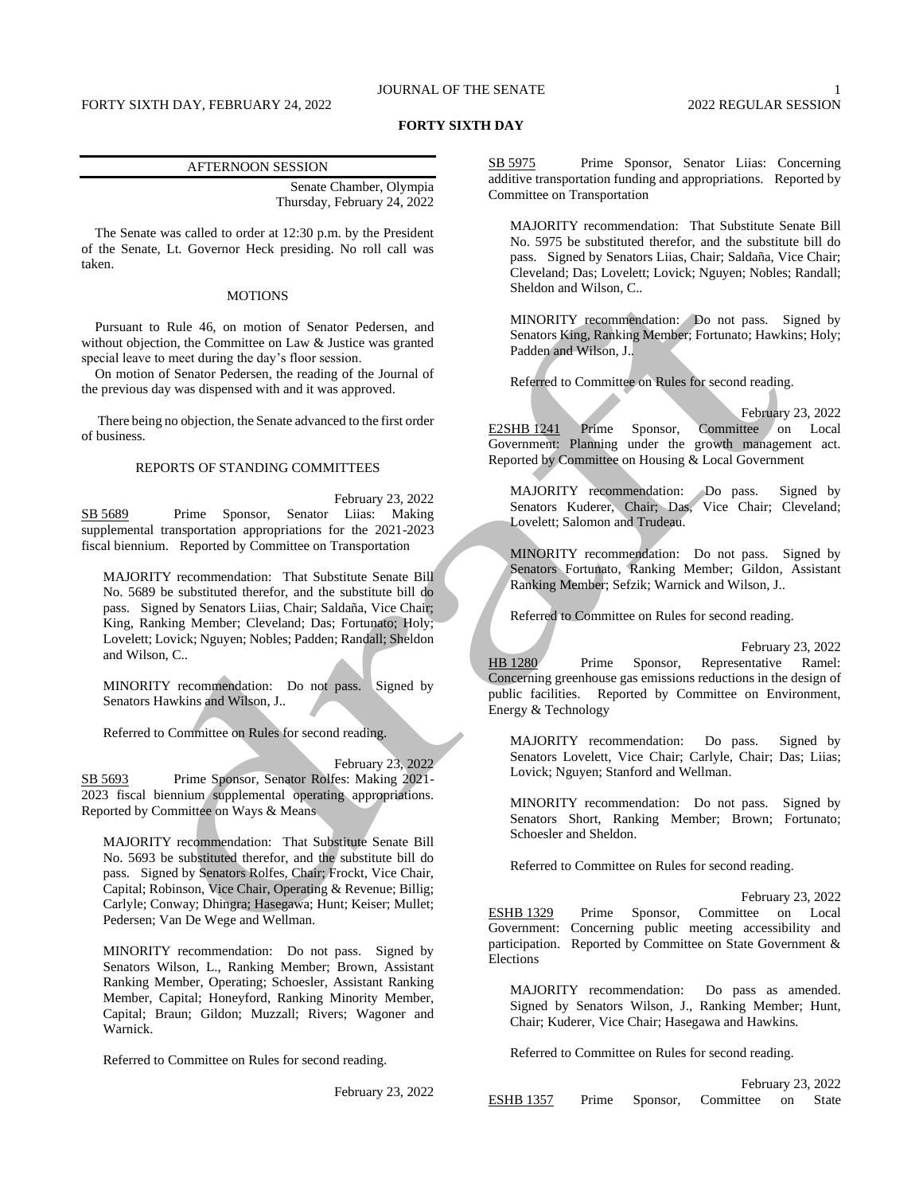# JOURNAL OF THE SENATE 1

## **FORTY SIXTH DAY**

#### AFTERNOON SESSION

Senate Chamber, Olympia Thursday, February 24, 2022

The Senate was called to order at 12:30 p.m. by the President of the Senate, Lt. Governor Heck presiding. No roll call was taken.

## MOTIONS

Pursuant to Rule 46, on motion of Senator Pedersen, and without objection, the Committee on Law & Justice was granted special leave to meet during the day's floor session.

On motion of Senator Pedersen, the reading of the Journal of the previous day was dispensed with and it was approved.

There being no objection, the Senate advanced to the first order of business.

#### REPORTS OF STANDING COMMITTEES

February 23, 2022 SB 5689 Prime Sponsor, Senator Liias: Making supplemental transportation appropriations for the 2021-2023 fiscal biennium. Reported by Committee on Transportation

MAJORITY recommendation: That Substitute Senate Bill No. 5689 be substituted therefor, and the substitute bill do pass. Signed by Senators Liias, Chair; Saldaña, Vice Chair; King, Ranking Member; Cleveland; Das; Fortunato; Holy; Lovelett; Lovick; Nguyen; Nobles; Padden; Randall; Sheldon and Wilson, C..

MINORITY recommendation: Do not pass. Signed by Senators Hawkins and Wilson, J..

Referred to Committee on Rules for second reading.

February 23, 2022

SB 5693 Prime Sponsor, Senator Rolfes: Making 2021-2023 fiscal biennium supplemental operating appropriations. Reported by Committee on Ways & Means

MAJORITY recommendation: That Substitute Senate Bill No. 5693 be substituted therefor, and the substitute bill do pass. Signed by Senators Rolfes, Chair; Frockt, Vice Chair, Capital; Robinson, Vice Chair, Operating & Revenue; Billig; Carlyle; Conway; Dhingra; Hasegawa; Hunt; Keiser; Mullet; Pedersen; Van De Wege and Wellman.

MINORITY recommendation: Do not pass. Signed by Senators Wilson, L., Ranking Member; Brown, Assistant Ranking Member, Operating; Schoesler, Assistant Ranking Member, Capital; Honeyford, Ranking Minority Member, Capital; Braun; Gildon; Muzzall; Rivers; Wagoner and Warnick.

Referred to Committee on Rules for second reading.

February 23, 2022

SB 5975 Prime Sponsor, Senator Liias: Concerning additive transportation funding and appropriations. Reported by Committee on Transportation

MAJORITY recommendation: That Substitute Senate Bill No. 5975 be substituted therefor, and the substitute bill do pass. Signed by Senators Liias, Chair; Saldaña, Vice Chair; Cleveland; Das; Lovelett; Lovick; Nguyen; Nobles; Randall; Sheldon and Wilson, C..

MINORITY recommendation: Do not pass. Signed by Senators King, Ranking Member; Fortunato; Hawkins; Holy; Padden and Wilson, J..

Referred to Committee on Rules for second reading.

February 23, 2022 E2SHB 1241 Prime Sponsor, Committee on Local Government: Planning under the growth management act. Reported by Committee on Housing & Local Government

MAJORITY recommendation: Do pass. Signed by Senators Kuderer, Chair; Das, Vice Chair; Cleveland; Lovelett; Salomon and Trudeau.

MINORITY recommendation: Do not pass. Signed by Senators Fortunato, Ranking Member; Gildon, Assistant Ranking Member; Sefzik; Warnick and Wilson, J..

Referred to Committee on Rules for second reading.

February 23, 2022 HB 1280 Prime Sponsor, Representative Ramel: Concerning greenhouse gas emissions reductions in the design of public facilities. Reported by Committee on Environment, Energy & Technology

MAJORITY recommendation: Do pass. Signed by Senators Lovelett, Vice Chair; Carlyle, Chair; Das; Liias; Lovick; Nguyen; Stanford and Wellman.

MINORITY recommendation: Do not pass. Signed by Senators Short, Ranking Member; Brown; Fortunato; Schoesler and Sheldon.

Referred to Committee on Rules for second reading.

February 23, 2022

ESHB 1329 Prime Sponsor, Committee on Local Government: Concerning public meeting accessibility and participation. Reported by Committee on State Government & Elections

MAJORITY recommendation: Do pass as amended. Signed by Senators Wilson, J., Ranking Member; Hunt, Chair; Kuderer, Vice Chair; Hasegawa and Hawkins.

Referred to Committee on Rules for second reading.

|                  |  |                                   | February 23, 2022 |
|------------------|--|-----------------------------------|-------------------|
| <b>ESHB</b> 1357 |  | Prime Sponsor, Committee on State |                   |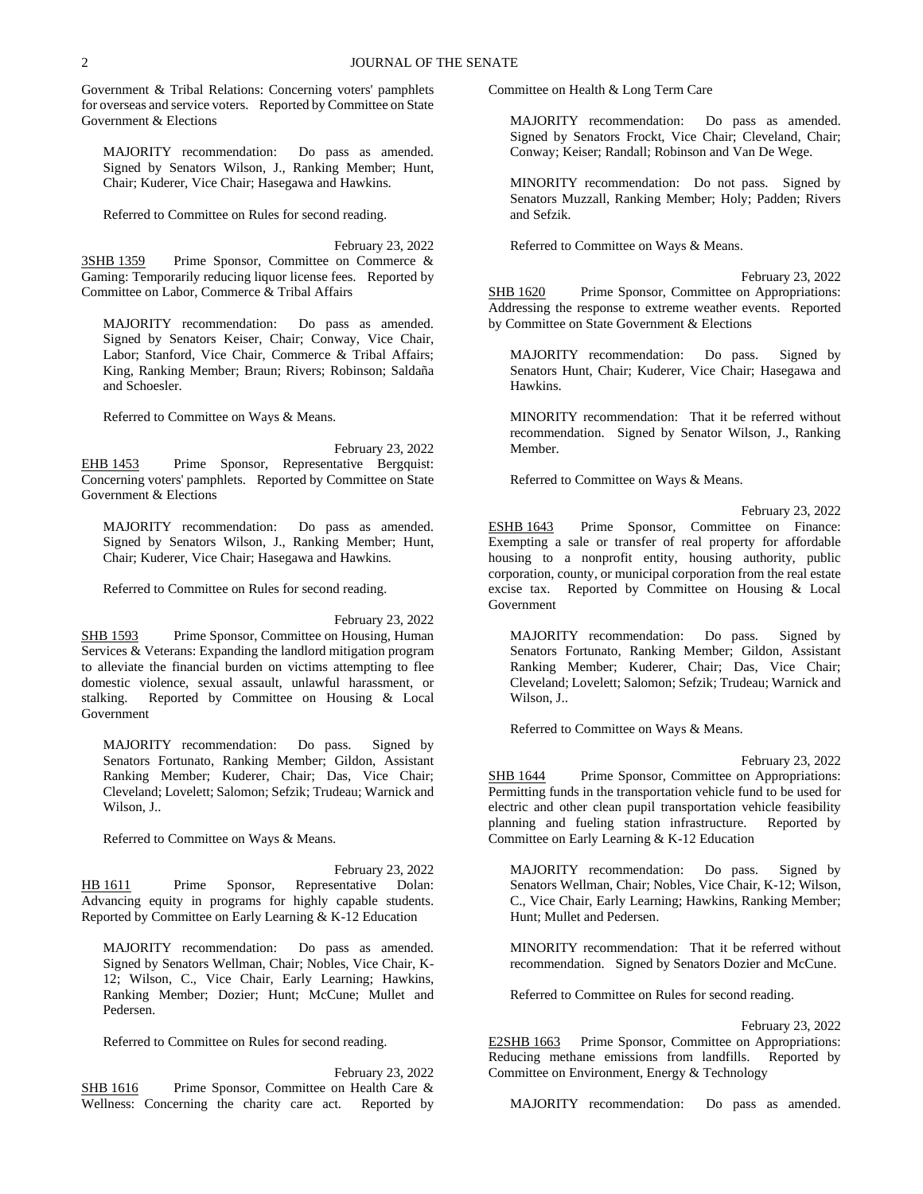Government & Tribal Relations: Concerning voters' pamphlets for overseas and service voters. Reported by Committee on State Government & Elections

MAJORITY recommendation: Do pass as amended. Signed by Senators Wilson, J., Ranking Member; Hunt, Chair; Kuderer, Vice Chair; Hasegawa and Hawkins.

Referred to Committee on Rules for second reading.

February 23, 2022 3SHB 1359 Prime Sponsor, Committee on Commerce & Gaming: Temporarily reducing liquor license fees. Reported by Committee on Labor, Commerce & Tribal Affairs

MAJORITY recommendation: Do pass as amended. Signed by Senators Keiser, Chair; Conway, Vice Chair, Labor; Stanford, Vice Chair, Commerce & Tribal Affairs; King, Ranking Member; Braun; Rivers; Robinson; Saldaña and Schoesler.

Referred to Committee on Ways & Means.

February 23, 2022 EHB 1453 Prime Sponsor, Representative Bergquist: Concerning voters' pamphlets. Reported by Committee on State Government & Elections

MAJORITY recommendation: Do pass as amended. Signed by Senators Wilson, J., Ranking Member; Hunt, Chair; Kuderer, Vice Chair; Hasegawa and Hawkins.

Referred to Committee on Rules for second reading.

February 23, 2022 SHB 1593 Prime Sponsor, Committee on Housing, Human Services & Veterans: Expanding the landlord mitigation program to alleviate the financial burden on victims attempting to flee domestic violence, sexual assault, unlawful harassment, or stalking. Reported by Committee on Housing & Local Government

MAJORITY recommendation: Do pass. Signed by Senators Fortunato, Ranking Member; Gildon, Assistant Ranking Member; Kuderer, Chair; Das, Vice Chair; Cleveland; Lovelett; Salomon; Sefzik; Trudeau; Warnick and Wilson, J..

Referred to Committee on Ways & Means.

February 23, 2022 HB 1611 Prime Sponsor, Representative Dolan: Advancing equity in programs for highly capable students. Reported by Committee on Early Learning & K-12 Education

MAJORITY recommendation: Do pass as amended. Signed by Senators Wellman, Chair; Nobles, Vice Chair, K-12; Wilson, C., Vice Chair, Early Learning; Hawkins, Ranking Member; Dozier; Hunt; McCune; Mullet and Pedersen.

Referred to Committee on Rules for second reading.

February 23, 2022 SHB 1616 Prime Sponsor, Committee on Health Care & Wellness: Concerning the charity care act. Reported by Committee on Health & Long Term Care

MAJORITY recommendation: Do pass as amended. Signed by Senators Frockt, Vice Chair; Cleveland, Chair; Conway; Keiser; Randall; Robinson and Van De Wege.

MINORITY recommendation: Do not pass. Signed by Senators Muzzall, Ranking Member; Holy; Padden; Rivers and Sefzik.

Referred to Committee on Ways & Means.

February 23, 2022 SHB 1620 Prime Sponsor, Committee on Appropriations: Addressing the response to extreme weather events. Reported by Committee on State Government & Elections

MAJORITY recommendation: Do pass. Signed by Senators Hunt, Chair; Kuderer, Vice Chair; Hasegawa and Hawkins.

MINORITY recommendation: That it be referred without recommendation. Signed by Senator Wilson, J., Ranking Member.

Referred to Committee on Ways & Means.

February 23, 2022 ESHB 1643 Prime Sponsor, Committee on Finance: Exempting a sale or transfer of real property for affordable housing to a nonprofit entity, housing authority, public corporation, county, or municipal corporation from the real estate excise tax. Reported by Committee on Housing & Local Government

MAJORITY recommendation: Do pass. Signed by Senators Fortunato, Ranking Member; Gildon, Assistant Ranking Member; Kuderer, Chair; Das, Vice Chair; Cleveland; Lovelett; Salomon; Sefzik; Trudeau; Warnick and Wilson, J..

Referred to Committee on Ways & Means.

February 23, 2022 SHB 1644 Prime Sponsor, Committee on Appropriations: Permitting funds in the transportation vehicle fund to be used for electric and other clean pupil transportation vehicle feasibility planning and fueling station infrastructure. Reported by Committee on Early Learning & K-12 Education

MAJORITY recommendation: Do pass. Signed by Senators Wellman, Chair; Nobles, Vice Chair, K-12; Wilson, C., Vice Chair, Early Learning; Hawkins, Ranking Member; Hunt; Mullet and Pedersen.

MINORITY recommendation: That it be referred without recommendation. Signed by Senators Dozier and McCune.

Referred to Committee on Rules for second reading.

February 23, 2022

E2SHB 1663 Prime Sponsor, Committee on Appropriations: Reducing methane emissions from landfills. Reported by Committee on Environment, Energy & Technology

MAJORITY recommendation: Do pass as amended.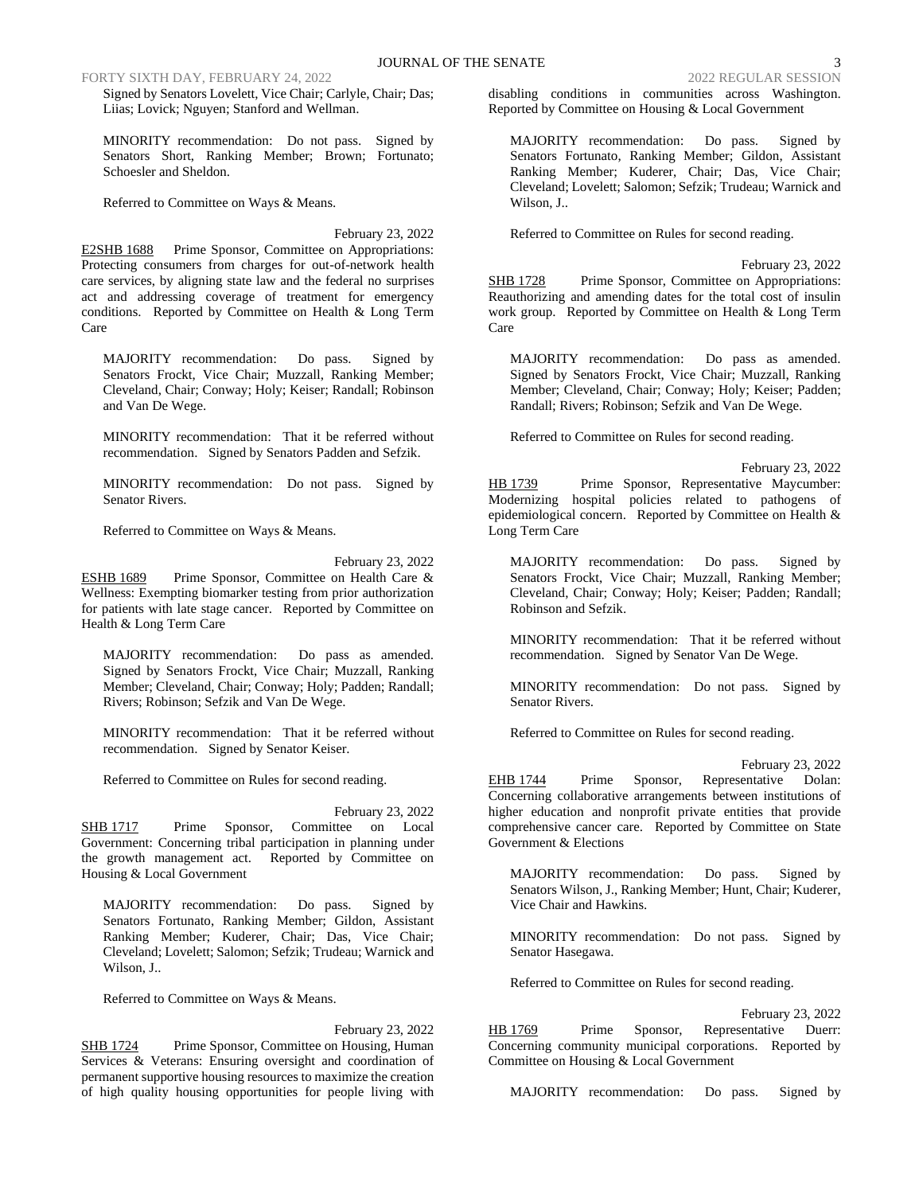FORTY SIXTH DAY, FEBRUARY 24, 2022 2022 REGULAR SESSION

Signed by Senators Lovelett, Vice Chair; Carlyle, Chair; Das; Liias; Lovick; Nguyen; Stanford and Wellman.

MINORITY recommendation: Do not pass. Signed by Senators Short, Ranking Member; Brown; Fortunato; Schoesler and Sheldon.

Referred to Committee on Ways & Means.

February 23, 2022 E2SHB 1688 Prime Sponsor, Committee on Appropriations: Protecting consumers from charges for out-of-network health care services, by aligning state law and the federal no surprises act and addressing coverage of treatment for emergency conditions. Reported by Committee on Health & Long Term Care

MAJORITY recommendation: Do pass. Signed by Senators Frockt, Vice Chair; Muzzall, Ranking Member; Cleveland, Chair; Conway; Holy; Keiser; Randall; Robinson and Van De Wege.

MINORITY recommendation: That it be referred without recommendation. Signed by Senators Padden and Sefzik.

MINORITY recommendation: Do not pass. Signed by Senator Rivers.

Referred to Committee on Ways & Means.

Health & Long Term Care

February 23, 2022 ESHB 1689 Prime Sponsor, Committee on Health Care & Wellness: Exempting biomarker testing from prior authorization for patients with late stage cancer. Reported by Committee on

MAJORITY recommendation: Do pass as amended. Signed by Senators Frockt, Vice Chair; Muzzall, Ranking Member; Cleveland, Chair; Conway; Holy; Padden; Randall; Rivers; Robinson; Sefzik and Van De Wege.

MINORITY recommendation: That it be referred without recommendation. Signed by Senator Keiser.

Referred to Committee on Rules for second reading.

February 23, 2022 SHB 1717 Prime Sponsor, Committee on Local Government: Concerning tribal participation in planning under the growth management act. Reported by Committee on Housing & Local Government

MAJORITY recommendation: Do pass. Signed by Senators Fortunato, Ranking Member; Gildon, Assistant Ranking Member; Kuderer, Chair; Das, Vice Chair; Cleveland; Lovelett; Salomon; Sefzik; Trudeau; Warnick and Wilson, J..

Referred to Committee on Ways & Means.

February 23, 2022 SHB 1724 Prime Sponsor, Committee on Housing, Human Services & Veterans: Ensuring oversight and coordination of permanent supportive housing resources to maximize the creation of high quality housing opportunities for people living with disabling conditions in communities across Washington. Reported by Committee on Housing & Local Government

MAJORITY recommendation: Do pass. Signed by Senators Fortunato, Ranking Member; Gildon, Assistant Ranking Member; Kuderer, Chair; Das, Vice Chair; Cleveland; Lovelett; Salomon; Sefzik; Trudeau; Warnick and Wilson, J..

Referred to Committee on Rules for second reading.

February 23, 2022 SHB 1728 Prime Sponsor, Committee on Appropriations: Reauthorizing and amending dates for the total cost of insulin work group. Reported by Committee on Health & Long Term Care

MAJORITY recommendation: Do pass as amended. Signed by Senators Frockt, Vice Chair; Muzzall, Ranking Member; Cleveland, Chair; Conway; Holy; Keiser; Padden; Randall; Rivers; Robinson; Sefzik and Van De Wege.

Referred to Committee on Rules for second reading.

February 23, 2022 HB 1739 Prime Sponsor, Representative Maycumber: Modernizing hospital policies related to pathogens of epidemiological concern. Reported by Committee on Health & Long Term Care

MAJORITY recommendation: Do pass. Signed by Senators Frockt, Vice Chair; Muzzall, Ranking Member; Cleveland, Chair; Conway; Holy; Keiser; Padden; Randall; Robinson and Sefzik.

MINORITY recommendation: That it be referred without recommendation. Signed by Senator Van De Wege.

MINORITY recommendation: Do not pass. Signed by Senator Rivers.

Referred to Committee on Rules for second reading.

February 23, 2022 EHB 1744 Prime Sponsor, Representative Dolan: Concerning collaborative arrangements between institutions of higher education and nonprofit private entities that provide comprehensive cancer care. Reported by Committee on State Government & Elections

MAJORITY recommendation: Do pass. Signed by Senators Wilson, J., Ranking Member; Hunt, Chair; Kuderer, Vice Chair and Hawkins.

MINORITY recommendation: Do not pass. Signed by Senator Hasegawa.

Referred to Committee on Rules for second reading.

February 23, 2022 HB 1769 Prime Sponsor, Representative Duerr: Concerning community municipal corporations. Reported by Committee on Housing & Local Government

MAJORITY recommendation: Do pass. Signed by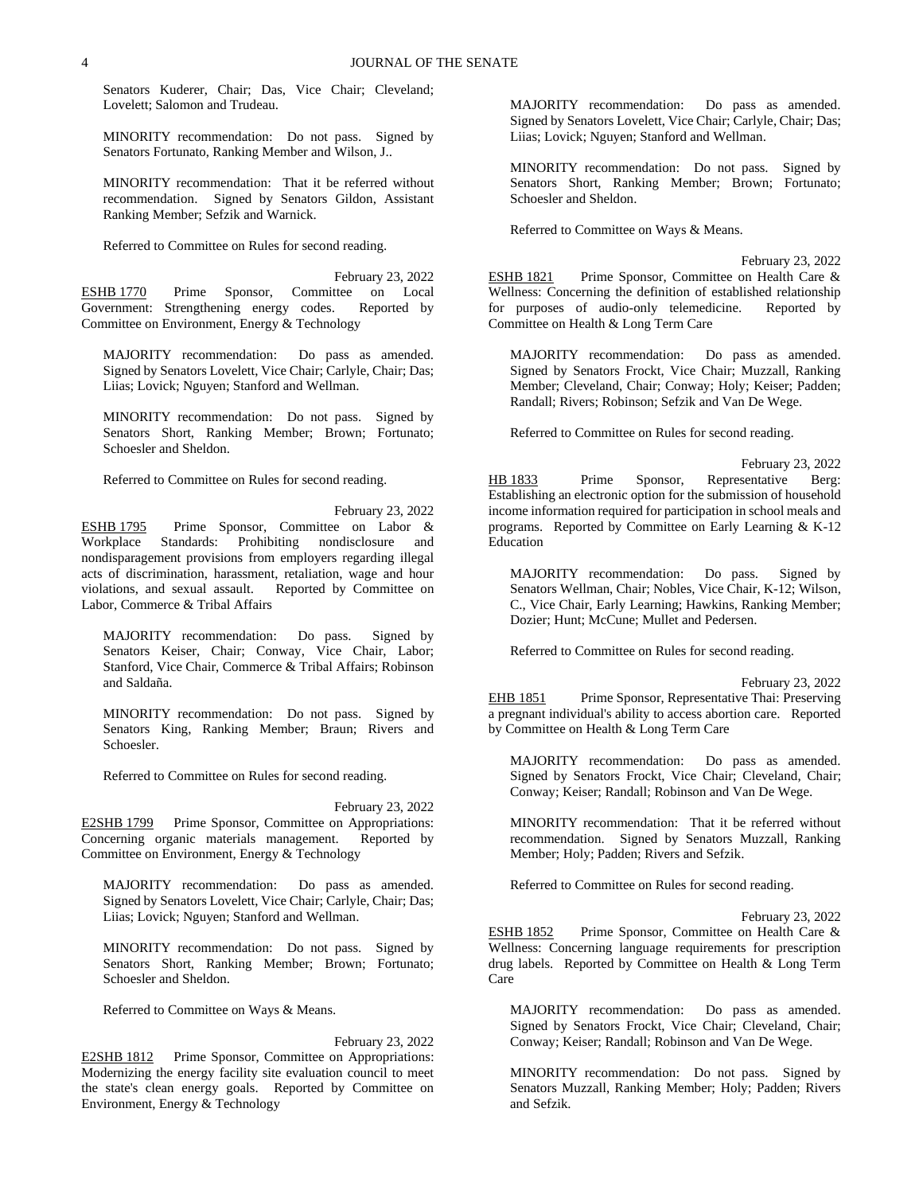Senators Kuderer, Chair; Das, Vice Chair; Cleveland; Lovelett; Salomon and Trudeau.

MINORITY recommendation: Do not pass. Signed by Senators Fortunato, Ranking Member and Wilson, J..

MINORITY recommendation: That it be referred without recommendation. Signed by Senators Gildon, Assistant Ranking Member; Sefzik and Warnick.

Referred to Committee on Rules for second reading.

February 23, 2022 ESHB 1770 Prime Sponsor, Committee on Local Government: Strengthening energy codes. Reported by Committee on Environment, Energy & Technology

MAJORITY recommendation: Do pass as amended. Signed by Senators Lovelett, Vice Chair; Carlyle, Chair; Das; Liias; Lovick; Nguyen; Stanford and Wellman.

MINORITY recommendation: Do not pass. Signed by Senators Short, Ranking Member; Brown; Fortunato; Schoesler and Sheldon.

Referred to Committee on Rules for second reading.

February 23, 2022 ESHB 1795 Prime Sponsor, Committee on Labor &<br>Workplace Standards: Prohibiting nondisclosure and Standards: Prohibiting nondisclosure and nondisparagement provisions from employers regarding illegal acts of discrimination, harassment, retaliation, wage and hour violations, and sexual assault. Reported by Committee on Labor, Commerce & Tribal Affairs

MAJORITY recommendation: Do pass. Signed by Senators Keiser, Chair; Conway, Vice Chair, Labor; Stanford, Vice Chair, Commerce & Tribal Affairs; Robinson and Saldaña.

MINORITY recommendation: Do not pass. Signed by Senators King, Ranking Member; Braun; Rivers and Schoesler.

Referred to Committee on Rules for second reading.

February 23, 2022 E2SHB 1799 Prime Sponsor, Committee on Appropriations: Concerning organic materials management. Reported by Committee on Environment, Energy & Technology

MAJORITY recommendation: Do pass as amended. Signed by Senators Lovelett, Vice Chair; Carlyle, Chair; Das; Liias; Lovick; Nguyen; Stanford and Wellman.

MINORITY recommendation: Do not pass. Signed by Senators Short, Ranking Member; Brown; Fortunato; Schoesler and Sheldon.

Referred to Committee on Ways & Means.

February 23, 2022

E2SHB 1812 Prime Sponsor, Committee on Appropriations: Modernizing the energy facility site evaluation council to meet the state's clean energy goals. Reported by Committee on Environment, Energy & Technology

MAJORITY recommendation: Do pass as amended. Signed by Senators Lovelett, Vice Chair; Carlyle, Chair; Das; Liias; Lovick; Nguyen; Stanford and Wellman.

MINORITY recommendation: Do not pass. Signed by Senators Short, Ranking Member; Brown; Fortunato; Schoesler and Sheldon.

Referred to Committee on Ways & Means.

February 23, 2022 ESHB 1821 Prime Sponsor, Committee on Health Care & Wellness: Concerning the definition of established relationship for purposes of audio-only telemedicine. Reported by Committee on Health & Long Term Care

MAJORITY recommendation: Do pass as amended. Signed by Senators Frockt, Vice Chair; Muzzall, Ranking Member; Cleveland, Chair; Conway; Holy; Keiser; Padden; Randall; Rivers; Robinson; Sefzik and Van De Wege.

Referred to Committee on Rules for second reading.

February 23, 2022 HB 1833 Prime Sponsor, Representative Berg: Establishing an electronic option for the submission of household income information required for participation in school meals and programs. Reported by Committee on Early Learning & K-12 Education

MAJORITY recommendation: Do pass. Signed by Senators Wellman, Chair; Nobles, Vice Chair, K-12; Wilson, C., Vice Chair, Early Learning; Hawkins, Ranking Member; Dozier; Hunt; McCune; Mullet and Pedersen.

Referred to Committee on Rules for second reading.

February 23, 2022 EHB 1851 Prime Sponsor, Representative Thai: Preserving a pregnant individual's ability to access abortion care. Reported by Committee on Health & Long Term Care

MAJORITY recommendation: Do pass as amended. Signed by Senators Frockt, Vice Chair; Cleveland, Chair; Conway; Keiser; Randall; Robinson and Van De Wege.

MINORITY recommendation: That it be referred without recommendation. Signed by Senators Muzzall, Ranking Member; Holy; Padden; Rivers and Sefzik.

Referred to Committee on Rules for second reading.

February 23, 2022 ESHB 1852 Prime Sponsor, Committee on Health Care & Wellness: Concerning language requirements for prescription drug labels. Reported by Committee on Health & Long Term Care

MAJORITY recommendation: Do pass as amended. Signed by Senators Frockt, Vice Chair; Cleveland, Chair; Conway; Keiser; Randall; Robinson and Van De Wege.

MINORITY recommendation: Do not pass. Signed by Senators Muzzall, Ranking Member; Holy; Padden; Rivers and Sefzik.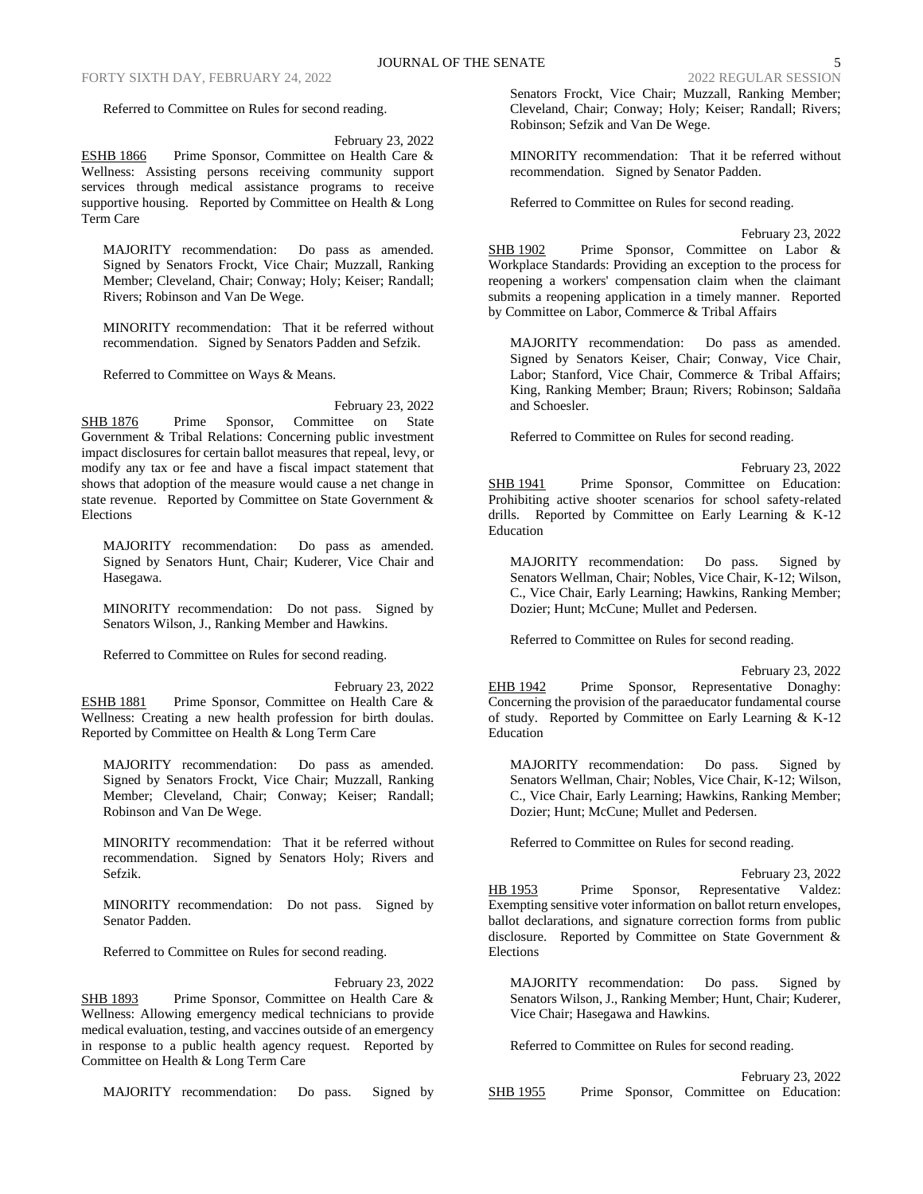Referred to Committee on Rules for second reading.

February 23, 2022

ESHB 1866 Prime Sponsor, Committee on Health Care & Wellness: Assisting persons receiving community support services through medical assistance programs to receive supportive housing. Reported by Committee on Health & Long Term Care

MAJORITY recommendation: Do pass as amended. Signed by Senators Frockt, Vice Chair; Muzzall, Ranking Member; Cleveland, Chair; Conway; Holy; Keiser; Randall; Rivers; Robinson and Van De Wege.

MINORITY recommendation: That it be referred without recommendation. Signed by Senators Padden and Sefzik.

Referred to Committee on Ways & Means.

February 23, 2022 SHB 1876 Prime Sponsor, Committee on State Government & Tribal Relations: Concerning public investment impact disclosures for certain ballot measures that repeal, levy, or modify any tax or fee and have a fiscal impact statement that shows that adoption of the measure would cause a net change in state revenue. Reported by Committee on State Government & Elections

MAJORITY recommendation: Do pass as amended. Signed by Senators Hunt, Chair; Kuderer, Vice Chair and Hasegawa.

MINORITY recommendation: Do not pass. Signed by Senators Wilson, J., Ranking Member and Hawkins.

Referred to Committee on Rules for second reading.

February 23, 2022

ESHB 1881 Prime Sponsor, Committee on Health Care & Wellness: Creating a new health profession for birth doulas. Reported by Committee on Health & Long Term Care

MAJORITY recommendation: Do pass as amended. Signed by Senators Frockt, Vice Chair; Muzzall, Ranking Member; Cleveland, Chair; Conway; Keiser; Randall; Robinson and Van De Wege.

MINORITY recommendation: That it be referred without recommendation. Signed by Senators Holy; Rivers and Sefzik.

MINORITY recommendation: Do not pass. Signed by Senator Padden.

Referred to Committee on Rules for second reading.

February 23, 2022 SHB 1893 Prime Sponsor, Committee on Health Care & Wellness: Allowing emergency medical technicians to provide medical evaluation, testing, and vaccines outside of an emergency in response to a public health agency request. Reported by Committee on Health & Long Term Care

MAJORITY recommendation: Do pass. Signed by

Cleveland, Chair; Conway; Holy; Keiser; Randall; Rivers; Robinson; Sefzik and Van De Wege.

MINORITY recommendation: That it be referred without recommendation. Signed by Senator Padden.

Referred to Committee on Rules for second reading.

February 23, 2022 SHB 1902 Prime Sponsor, Committee on Labor & Workplace Standards: Providing an exception to the process for reopening a workers' compensation claim when the claimant submits a reopening application in a timely manner. Reported by Committee on Labor, Commerce & Tribal Affairs

MAJORITY recommendation: Do pass as amended. Signed by Senators Keiser, Chair; Conway, Vice Chair, Labor; Stanford, Vice Chair, Commerce & Tribal Affairs; King, Ranking Member; Braun; Rivers; Robinson; Saldaña and Schoesler.

Referred to Committee on Rules for second reading.

February 23, 2022 SHB 1941 Prime Sponsor, Committee on Education: Prohibiting active shooter scenarios for school safety-related drills. Reported by Committee on Early Learning & K-12 Education

MAJORITY recommendation: Do pass. Signed by Senators Wellman, Chair; Nobles, Vice Chair, K-12; Wilson, C., Vice Chair, Early Learning; Hawkins, Ranking Member; Dozier; Hunt; McCune; Mullet and Pedersen.

Referred to Committee on Rules for second reading.

February 23, 2022 EHB 1942 Prime Sponsor, Representative Donaghy: Concerning the provision of the paraeducator fundamental course of study. Reported by Committee on Early Learning & K-12 Education

MAJORITY recommendation: Do pass. Signed by Senators Wellman, Chair; Nobles, Vice Chair, K-12; Wilson, C., Vice Chair, Early Learning; Hawkins, Ranking Member; Dozier; Hunt; McCune; Mullet and Pedersen.

Referred to Committee on Rules for second reading.

February 23, 2022 HB 1953 Prime Sponsor, Representative Valdez: Exempting sensitive voter information on ballot return envelopes, ballot declarations, and signature correction forms from public disclosure. Reported by Committee on State Government & Elections

MAJORITY recommendation: Do pass. Signed by Senators Wilson, J., Ranking Member; Hunt, Chair; Kuderer, Vice Chair; Hasegawa and Hawkins.

Referred to Committee on Rules for second reading.

|                 |  |                                        | February 23, 2022 |
|-----------------|--|----------------------------------------|-------------------|
| <b>SHB 1955</b> |  | Prime Sponsor, Committee on Education: |                   |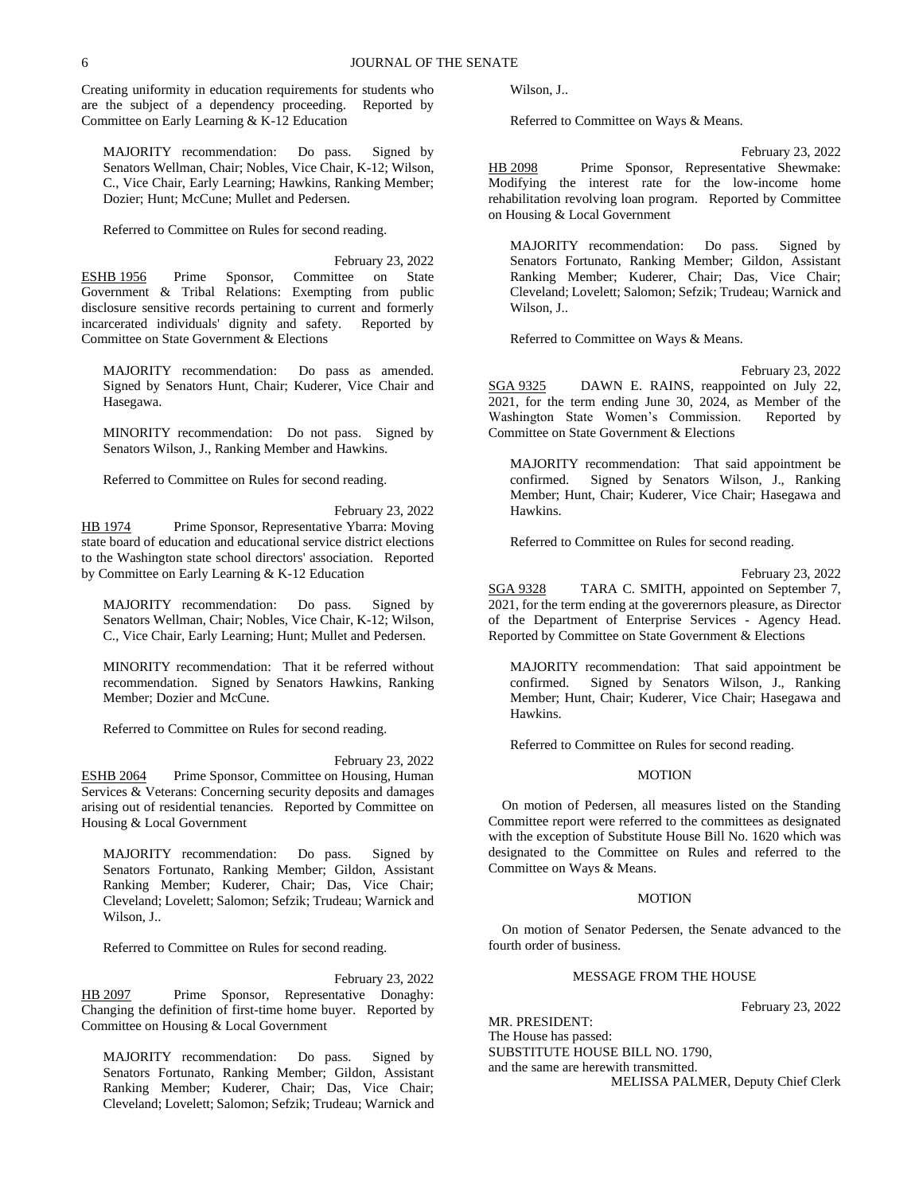Creating uniformity in education requirements for students who are the subject of a dependency proceeding. Reported by Committee on Early Learning & K-12 Education

MAJORITY recommendation: Do pass. Signed by Senators Wellman, Chair; Nobles, Vice Chair, K-12; Wilson, C., Vice Chair, Early Learning; Hawkins, Ranking Member; Dozier; Hunt; McCune; Mullet and Pedersen.

Referred to Committee on Rules for second reading.

February 23, 2022 ESHB 1956 Prime Sponsor, Committee on State Government & Tribal Relations: Exempting from public disclosure sensitive records pertaining to current and formerly incarcerated individuals' dignity and safety. Reported by Committee on State Government & Elections

MAJORITY recommendation: Do pass as amended. Signed by Senators Hunt, Chair; Kuderer, Vice Chair and Hasegawa.

MINORITY recommendation: Do not pass. Signed by Senators Wilson, J., Ranking Member and Hawkins.

Referred to Committee on Rules for second reading.

February 23, 2022 HB 1974 Prime Sponsor, Representative Ybarra: Moving state board of education and educational service district elections to the Washington state school directors' association. Reported by Committee on Early Learning & K-12 Education

MAJORITY recommendation: Do pass. Signed by Senators Wellman, Chair; Nobles, Vice Chair, K-12; Wilson, C., Vice Chair, Early Learning; Hunt; Mullet and Pedersen.

MINORITY recommendation: That it be referred without recommendation. Signed by Senators Hawkins, Ranking Member; Dozier and McCune.

Referred to Committee on Rules for second reading.

February 23, 2022 ESHB 2064 Prime Sponsor, Committee on Housing, Human Services & Veterans: Concerning security deposits and damages arising out of residential tenancies. Reported by Committee on Housing & Local Government

MAJORITY recommendation: Do pass. Signed by Senators Fortunato, Ranking Member; Gildon, Assistant Ranking Member; Kuderer, Chair; Das, Vice Chair; Cleveland; Lovelett; Salomon; Sefzik; Trudeau; Warnick and Wilson, J..

Referred to Committee on Rules for second reading.

February 23, 2022 HB 2097 Prime Sponsor, Representative Donaghy: Changing the definition of first-time home buyer. Reported by Committee on Housing & Local Government

MAJORITY recommendation: Do pass. Signed by Senators Fortunato, Ranking Member; Gildon, Assistant Ranking Member; Kuderer, Chair; Das, Vice Chair; Cleveland; Lovelett; Salomon; Sefzik; Trudeau; Warnick and Wilson, J..

Referred to Committee on Ways & Means.

February 23, 2022 HB 2098 Prime Sponsor, Representative Shewmake: Modifying the interest rate for the low-income home rehabilitation revolving loan program. Reported by Committee on Housing & Local Government

MAJORITY recommendation: Do pass. Signed by Senators Fortunato, Ranking Member; Gildon, Assistant Ranking Member; Kuderer, Chair; Das, Vice Chair; Cleveland; Lovelett; Salomon; Sefzik; Trudeau; Warnick and Wilson, J..

Referred to Committee on Ways & Means.

February 23, 2022 SGA 9325 DAWN E. RAINS, reappointed on July 22, 2021, for the term ending June 30, 2024, as Member of the Washington State Women's Commission. Reported by Committee on State Government & Elections

MAJORITY recommendation: That said appointment be confirmed. Signed by Senators Wilson, J., Ranking Member; Hunt, Chair; Kuderer, Vice Chair; Hasegawa and Hawkins.

Referred to Committee on Rules for second reading.

February 23, 2022

SGA 9328 TARA C. SMITH, appointed on September 7, 2021, for the term ending at the goverernors pleasure, as Director of the Department of Enterprise Services - Agency Head. Reported by Committee on State Government & Elections

MAJORITY recommendation: That said appointment be confirmed. Signed by Senators Wilson, J., Ranking Member; Hunt, Chair; Kuderer, Vice Chair; Hasegawa and Hawkins.

Referred to Committee on Rules for second reading.

### MOTION

On motion of Pedersen, all measures listed on the Standing Committee report were referred to the committees as designated with the exception of Substitute House Bill No. 1620 which was designated to the Committee on Rules and referred to the Committee on Ways & Means.

#### MOTION

On motion of Senator Pedersen, the Senate advanced to the fourth order of business.

# MESSAGE FROM THE HOUSE

February 23, 2022

MR. PRESIDENT: The House has passed: SUBSTITUTE HOUSE BILL NO. 1790, and the same are herewith transmitted. MELISSA PALMER, Deputy Chief Clerk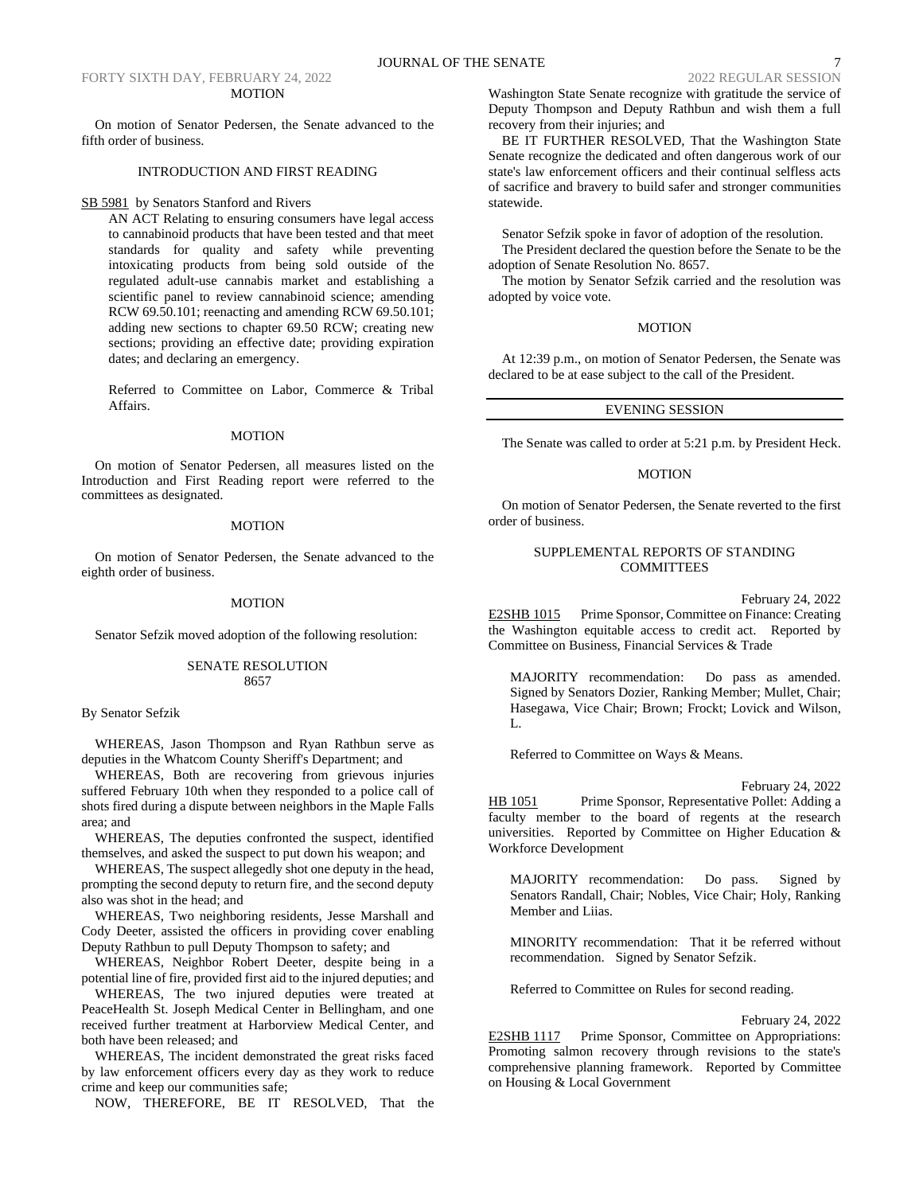## FORTY SIXTH DAY, FEBRUARY 24, 2022 2022 REGULAR SESSION MOTION

On motion of Senator Pedersen, the Senate advanced to the fifth order of business.

## INTRODUCTION AND FIRST READING

#### SB 5981 by Senators Stanford and Rivers

AN ACT Relating to ensuring consumers have legal access to cannabinoid products that have been tested and that meet standards for quality and safety while preventing intoxicating products from being sold outside of the regulated adult-use cannabis market and establishing a scientific panel to review cannabinoid science; amending RCW 69.50.101; reenacting and amending RCW 69.50.101; adding new sections to chapter 69.50 RCW; creating new sections; providing an effective date; providing expiration dates; and declaring an emergency.

Referred to Committee on Labor, Commerce & Tribal Affairs.

## MOTION

On motion of Senator Pedersen, all measures listed on the Introduction and First Reading report were referred to the committees as designated.

#### MOTION

On motion of Senator Pedersen, the Senate advanced to the eighth order of business.

## MOTION

Senator Sefzik moved adoption of the following resolution:

# SENATE RESOLUTION 8657

# By Senator Sefzik

WHEREAS, Jason Thompson and Ryan Rathbun serve as deputies in the Whatcom County Sheriff's Department; and

WHEREAS, Both are recovering from grievous injuries suffered February 10th when they responded to a police call of shots fired during a dispute between neighbors in the Maple Falls area; and

WHEREAS, The deputies confronted the suspect, identified themselves, and asked the suspect to put down his weapon; and

WHEREAS, The suspect allegedly shot one deputy in the head, prompting the second deputy to return fire, and the second deputy also was shot in the head; and

WHEREAS, Two neighboring residents, Jesse Marshall and Cody Deeter, assisted the officers in providing cover enabling Deputy Rathbun to pull Deputy Thompson to safety; and

WHEREAS, Neighbor Robert Deeter, despite being in a potential line of fire, provided first aid to the injured deputies; and

WHEREAS, The two injured deputies were treated at PeaceHealth St. Joseph Medical Center in Bellingham, and one received further treatment at Harborview Medical Center, and both have been released; and

WHEREAS, The incident demonstrated the great risks faced by law enforcement officers every day as they work to reduce crime and keep our communities safe;

NOW, THEREFORE, BE IT RESOLVED, That the

Washington State Senate recognize with gratitude the service of Deputy Thompson and Deputy Rathbun and wish them a full recovery from their injuries; and

BE IT FURTHER RESOLVED, That the Washington State Senate recognize the dedicated and often dangerous work of our state's law enforcement officers and their continual selfless acts of sacrifice and bravery to build safer and stronger communities statewide.

Senator Sefzik spoke in favor of adoption of the resolution.

The President declared the question before the Senate to be the adoption of Senate Resolution No. 8657.

The motion by Senator Sefzik carried and the resolution was adopted by voice vote.

## **MOTION**

At 12:39 p.m., on motion of Senator Pedersen, the Senate was declared to be at ease subject to the call of the President.

## EVENING SESSION

The Senate was called to order at 5:21 p.m. by President Heck.

# MOTION

On motion of Senator Pedersen, the Senate reverted to the first order of business.

## SUPPLEMENTAL REPORTS OF STANDING COMMITTEES

February 24, 2022

E2SHB 1015 Prime Sponsor, Committee on Finance: Creating the Washington equitable access to credit act. Reported by Committee on Business, Financial Services & Trade

MAJORITY recommendation: Do pass as amended. Signed by Senators Dozier, Ranking Member; Mullet, Chair; Hasegawa, Vice Chair; Brown; Frockt; Lovick and Wilson,  $L$ .

Referred to Committee on Ways & Means.

February 24, 2022

HB 1051 Prime Sponsor, Representative Pollet: Adding a faculty member to the board of regents at the research universities. Reported by Committee on Higher Education & Workforce Development

MAJORITY recommendation: Do pass. Signed by Senators Randall, Chair; Nobles, Vice Chair; Holy, Ranking Member and Liias.

MINORITY recommendation: That it be referred without recommendation. Signed by Senator Sefzik.

Referred to Committee on Rules for second reading.

February 24, 2022

E2SHB 1117 Prime Sponsor, Committee on Appropriations: Promoting salmon recovery through revisions to the state's comprehensive planning framework. Reported by Committee on Housing & Local Government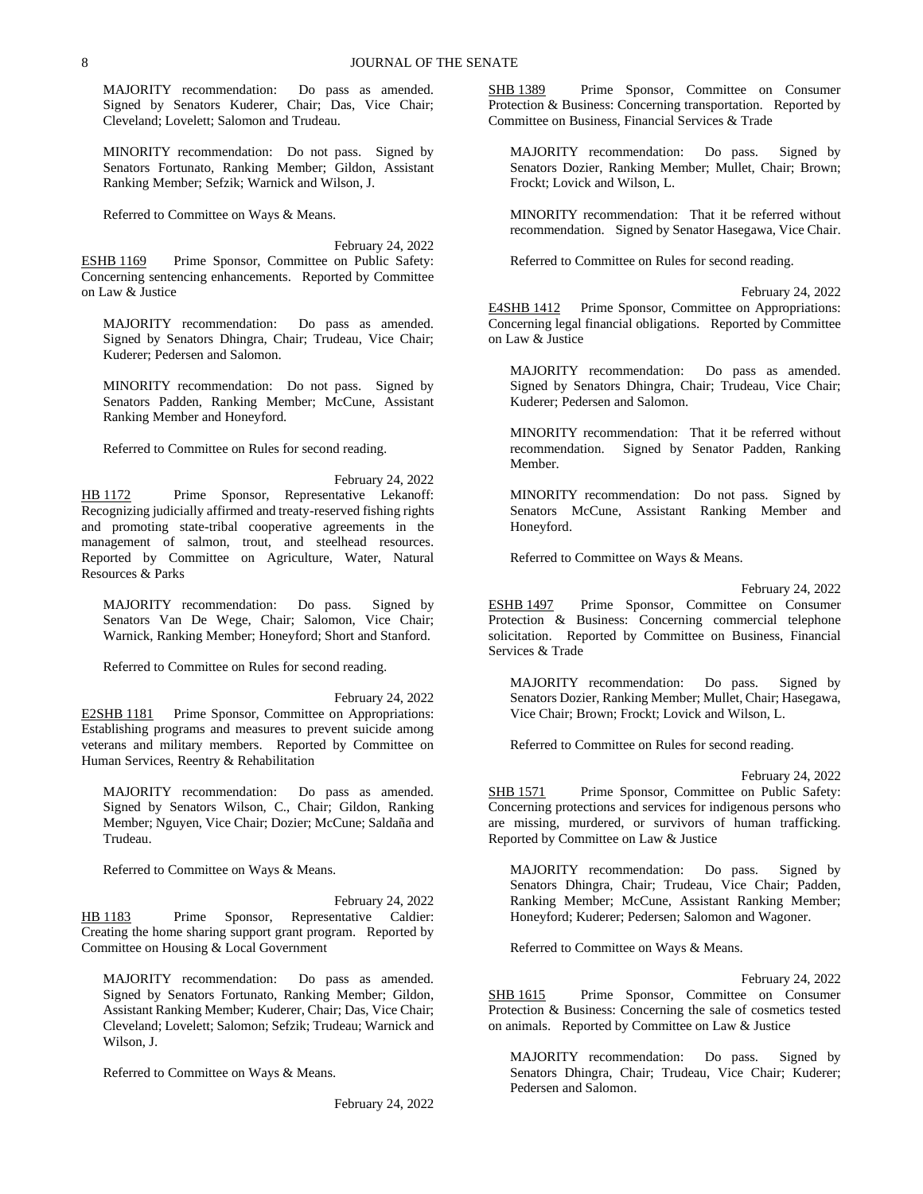MAJORITY recommendation: Do pass as amended. Signed by Senators Kuderer, Chair; Das, Vice Chair; Cleveland; Lovelett; Salomon and Trudeau.

MINORITY recommendation: Do not pass. Signed by Senators Fortunato, Ranking Member; Gildon, Assistant Ranking Member; Sefzik; Warnick and Wilson, J.

Referred to Committee on Ways & Means.

February 24, 2022 ESHB 1169 Prime Sponsor, Committee on Public Safety: Concerning sentencing enhancements. Reported by Committee on Law & Justice

MAJORITY recommendation: Do pass as amended. Signed by Senators Dhingra, Chair; Trudeau, Vice Chair; Kuderer; Pedersen and Salomon.

MINORITY recommendation: Do not pass. Signed by Senators Padden, Ranking Member; McCune, Assistant Ranking Member and Honeyford.

Referred to Committee on Rules for second reading.

February 24, 2022 HB 1172 Prime Sponsor, Representative Lekanoff: Recognizing judicially affirmed and treaty-reserved fishing rights and promoting state-tribal cooperative agreements in the management of salmon, trout, and steelhead resources. Reported by Committee on Agriculture, Water, Natural Resources & Parks

MAJORITY recommendation: Do pass. Signed by Senators Van De Wege, Chair; Salomon, Vice Chair; Warnick, Ranking Member; Honeyford; Short and Stanford.

Referred to Committee on Rules for second reading.

February 24, 2022 E2SHB 1181 Prime Sponsor, Committee on Appropriations: Establishing programs and measures to prevent suicide among veterans and military members. Reported by Committee on Human Services, Reentry & Rehabilitation

MAJORITY recommendation: Do pass as amended. Signed by Senators Wilson, C., Chair; Gildon, Ranking Member; Nguyen, Vice Chair; Dozier; McCune; Saldaña and Trudeau.

Referred to Committee on Ways & Means.

February 24, 2022 HB 1183 Prime Sponsor, Representative Caldier: Creating the home sharing support grant program. Reported by Committee on Housing & Local Government

MAJORITY recommendation: Do pass as amended. Signed by Senators Fortunato, Ranking Member; Gildon, Assistant Ranking Member; Kuderer, Chair; Das, Vice Chair; Cleveland; Lovelett; Salomon; Sefzik; Trudeau; Warnick and Wilson, J.

Referred to Committee on Ways & Means.

February 24, 2022

SHB 1389 Prime Sponsor, Committee on Consumer Protection & Business: Concerning transportation. Reported by Committee on Business, Financial Services & Trade

MAJORITY recommendation: Do pass. Signed by Senators Dozier, Ranking Member; Mullet, Chair; Brown; Frockt; Lovick and Wilson, L.

MINORITY recommendation: That it be referred without recommendation. Signed by Senator Hasegawa, Vice Chair.

Referred to Committee on Rules for second reading.

February 24, 2022 E4SHB 1412 Prime Sponsor, Committee on Appropriations: Concerning legal financial obligations. Reported by Committee on Law & Justice

MAJORITY recommendation: Do pass as amended. Signed by Senators Dhingra, Chair; Trudeau, Vice Chair; Kuderer; Pedersen and Salomon.

MINORITY recommendation: That it be referred without recommendation. Signed by Senator Padden, Ranking Member.

MINORITY recommendation: Do not pass. Signed by Senators McCune, Assistant Ranking Member and Honeyford.

Referred to Committee on Ways & Means.

February 24, 2022

ESHB 1497 Prime Sponsor, Committee on Consumer Protection & Business: Concerning commercial telephone solicitation. Reported by Committee on Business, Financial Services & Trade

MAJORITY recommendation: Do pass. Signed by Senators Dozier, Ranking Member; Mullet, Chair; Hasegawa, Vice Chair; Brown; Frockt; Lovick and Wilson, L.

Referred to Committee on Rules for second reading.

February 24, 2022

SHB 1571 Prime Sponsor, Committee on Public Safety: Concerning protections and services for indigenous persons who are missing, murdered, or survivors of human trafficking. Reported by Committee on Law & Justice

MAJORITY recommendation: Do pass. Signed by Senators Dhingra, Chair; Trudeau, Vice Chair; Padden, Ranking Member; McCune, Assistant Ranking Member; Honeyford; Kuderer; Pedersen; Salomon and Wagoner.

Referred to Committee on Ways & Means.

February 24, 2022

SHB 1615 Prime Sponsor, Committee on Consumer Protection & Business: Concerning the sale of cosmetics tested on animals. Reported by Committee on Law & Justice

MAJORITY recommendation: Do pass. Signed by Senators Dhingra, Chair; Trudeau, Vice Chair; Kuderer; Pedersen and Salomon.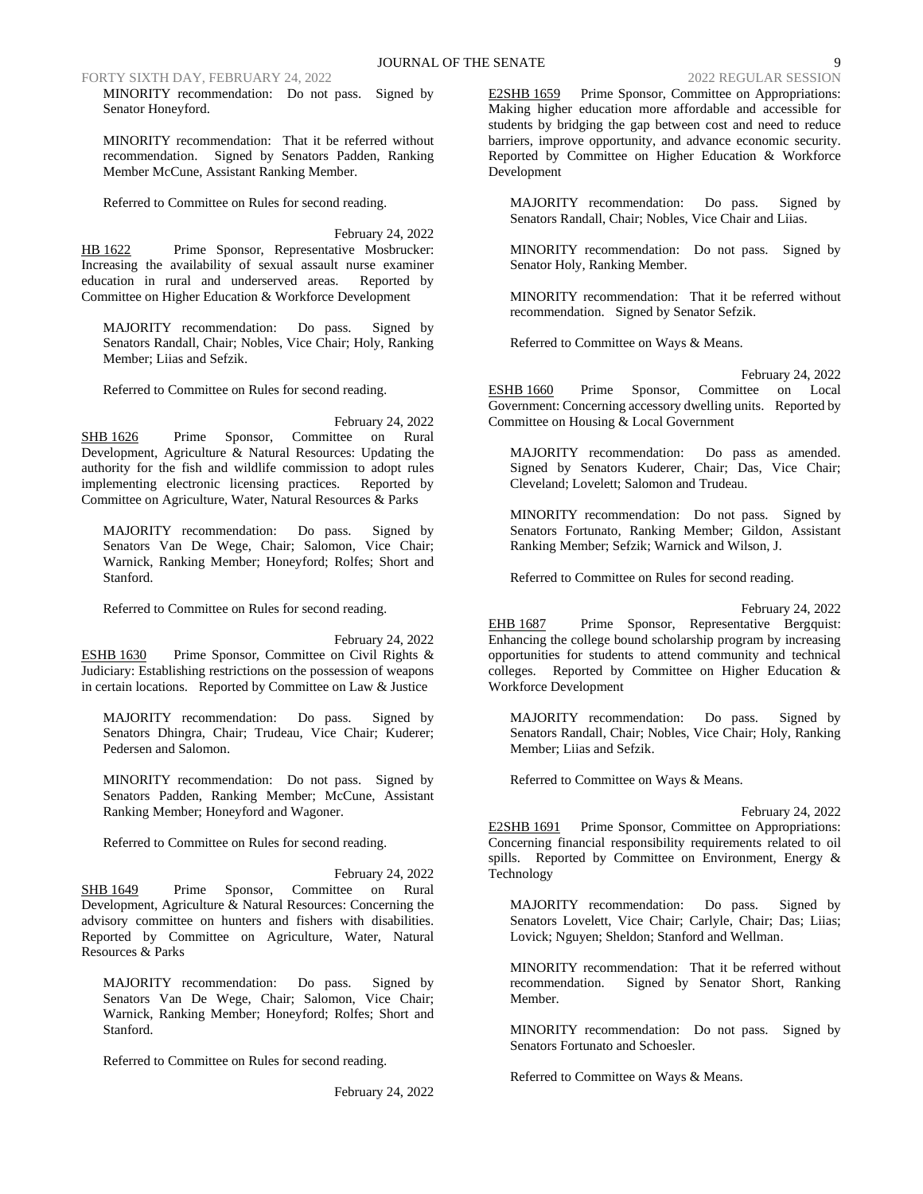FORTY SIXTH DAY, FEBRUARY 24, 2022 2022 REGULAR SESSION

MINORITY recommendation: Do not pass. Signed by Senator Honeyford.

MINORITY recommendation: That it be referred without recommendation. Signed by Senators Padden, Ranking Member McCune, Assistant Ranking Member.

Referred to Committee on Rules for second reading.

February 24, 2022 HB 1622 Prime Sponsor, Representative Mosbrucker: Increasing the availability of sexual assault nurse examiner education in rural and underserved areas. Reported by Committee on Higher Education & Workforce Development

MAJORITY recommendation: Do pass. Signed by Senators Randall, Chair; Nobles, Vice Chair; Holy, Ranking Member; Liias and Sefzik.

Referred to Committee on Rules for second reading.

February 24, 2022 SHB 1626 Prime Sponsor, Committee on Rural Development, Agriculture & Natural Resources: Updating the authority for the fish and wildlife commission to adopt rules implementing electronic licensing practices. Reported by Committee on Agriculture, Water, Natural Resources & Parks

MAJORITY recommendation: Do pass. Signed by Senators Van De Wege, Chair; Salomon, Vice Chair; Warnick, Ranking Member; Honeyford; Rolfes; Short and Stanford.

Referred to Committee on Rules for second reading.

February 24, 2022 ESHB 1630 Prime Sponsor, Committee on Civil Rights & Judiciary: Establishing restrictions on the possession of weapons in certain locations. Reported by Committee on Law & Justice

MAJORITY recommendation: Do pass. Signed by Senators Dhingra, Chair; Trudeau, Vice Chair; Kuderer; Pedersen and Salomon.

MINORITY recommendation: Do not pass. Signed by Senators Padden, Ranking Member; McCune, Assistant Ranking Member; Honeyford and Wagoner.

Referred to Committee on Rules for second reading.

February 24, 2022 SHB 1649 Prime Sponsor, Committee on Rural Development, Agriculture & Natural Resources: Concerning the advisory committee on hunters and fishers with disabilities. Reported by Committee on Agriculture, Water, Natural Resources & Parks

MAJORITY recommendation: Do pass. Signed by Senators Van De Wege, Chair; Salomon, Vice Chair; Warnick, Ranking Member; Honeyford; Rolfes; Short and Stanford.

Referred to Committee on Rules for second reading.

February 24, 2022

E2SHB 1659 Prime Sponsor, Committee on Appropriations: Making higher education more affordable and accessible for students by bridging the gap between cost and need to reduce barriers, improve opportunity, and advance economic security. Reported by Committee on Higher Education & Workforce Development

MAJORITY recommendation: Do pass. Signed by Senators Randall, Chair; Nobles, Vice Chair and Liias.

MINORITY recommendation: Do not pass. Signed by Senator Holy, Ranking Member.

MINORITY recommendation: That it be referred without recommendation. Signed by Senator Sefzik.

Referred to Committee on Ways & Means.

February 24, 2022 ESHB 1660 Prime Sponsor, Committee on Local Government: Concerning accessory dwelling units. Reported by Committee on Housing & Local Government

MAJORITY recommendation: Do pass as amended. Signed by Senators Kuderer, Chair; Das, Vice Chair; Cleveland; Lovelett; Salomon and Trudeau.

MINORITY recommendation: Do not pass. Signed by Senators Fortunato, Ranking Member; Gildon, Assistant Ranking Member; Sefzik; Warnick and Wilson, J.

Referred to Committee on Rules for second reading.

February 24, 2022 EHB 1687 Prime Sponsor, Representative Bergquist: Enhancing the college bound scholarship program by increasing opportunities for students to attend community and technical colleges. Reported by Committee on Higher Education & Workforce Development

MAJORITY recommendation: Do pass. Signed by Senators Randall, Chair; Nobles, Vice Chair; Holy, Ranking Member; Liias and Sefzik.

Referred to Committee on Ways & Means.

February 24, 2022 E2SHB 1691 Prime Sponsor, Committee on Appropriations: Concerning financial responsibility requirements related to oil spills. Reported by Committee on Environment, Energy & Technology

MAJORITY recommendation: Do pass. Signed by Senators Lovelett, Vice Chair; Carlyle, Chair; Das; Liias; Lovick; Nguyen; Sheldon; Stanford and Wellman.

MINORITY recommendation: That it be referred without recommendation. Signed by Senator Short, Ranking Member.

MINORITY recommendation: Do not pass. Signed by Senators Fortunato and Schoesler.

Referred to Committee on Ways & Means.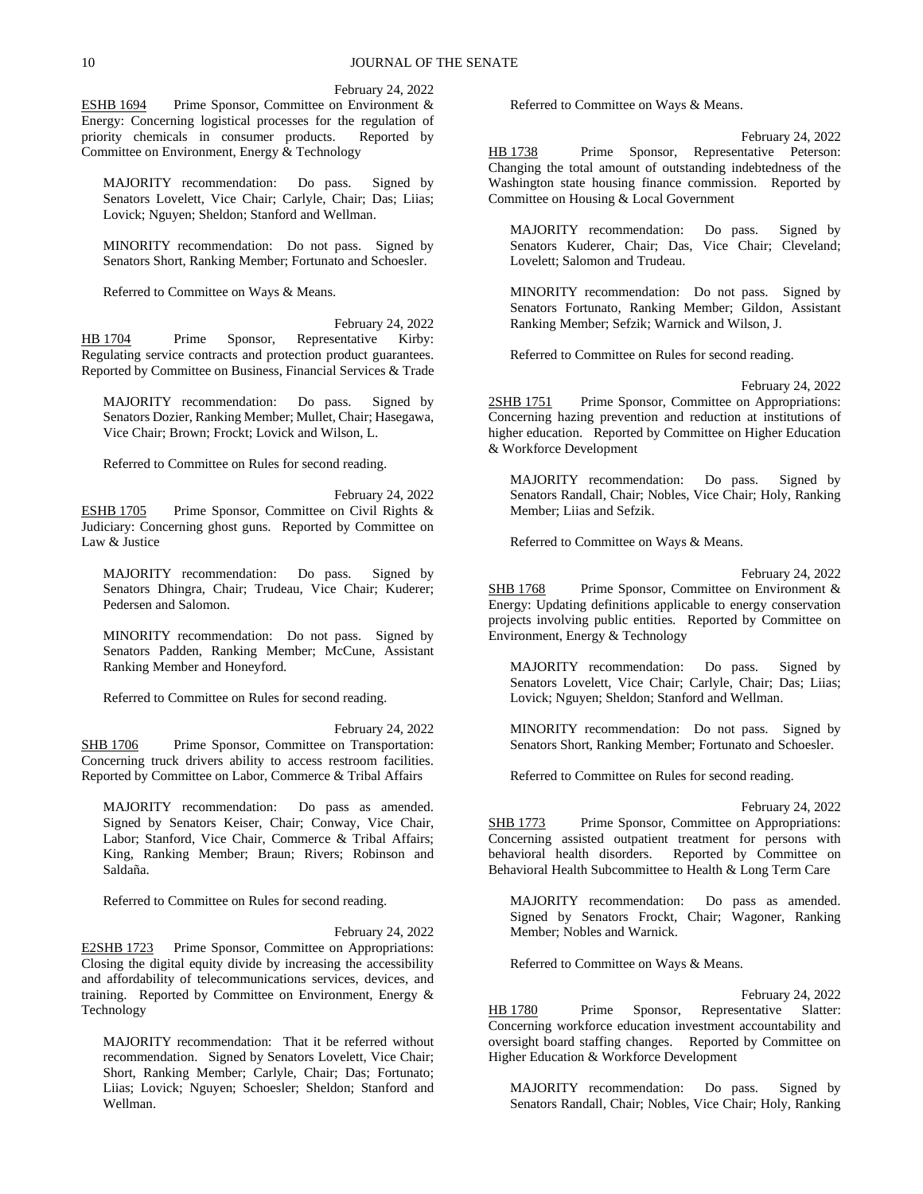February 24, 2022

ESHB 1694 Prime Sponsor, Committee on Environment & Energy: Concerning logistical processes for the regulation of priority chemicals in consumer products. Reported by priority chemicals in consumer products. Committee on Environment, Energy & Technology

MAJORITY recommendation: Do pass. Signed by Senators Lovelett, Vice Chair; Carlyle, Chair; Das; Liias; Lovick; Nguyen; Sheldon; Stanford and Wellman.

MINORITY recommendation: Do not pass. Signed by Senators Short, Ranking Member; Fortunato and Schoesler.

Referred to Committee on Ways & Means.

February 24, 2022 HB 1704 Prime Sponsor, Representative Kirby: Regulating service contracts and protection product guarantees. Reported by Committee on Business, Financial Services & Trade

MAJORITY recommendation: Do pass. Signed by Senators Dozier, Ranking Member; Mullet, Chair; Hasegawa, Vice Chair; Brown; Frockt; Lovick and Wilson, L.

Referred to Committee on Rules for second reading.

February 24, 2022 ESHB 1705 Prime Sponsor, Committee on Civil Rights & Judiciary: Concerning ghost guns. Reported by Committee on Law & Justice

MAJORITY recommendation: Do pass. Signed by Senators Dhingra, Chair; Trudeau, Vice Chair; Kuderer; Pedersen and Salomon.

MINORITY recommendation: Do not pass. Signed by Senators Padden, Ranking Member; McCune, Assistant Ranking Member and Honeyford.

Referred to Committee on Rules for second reading.

February 24, 2022 SHB 1706 Prime Sponsor, Committee on Transportation: Concerning truck drivers ability to access restroom facilities. Reported by Committee on Labor, Commerce & Tribal Affairs

MAJORITY recommendation: Do pass as amended. Signed by Senators Keiser, Chair; Conway, Vice Chair, Labor; Stanford, Vice Chair, Commerce & Tribal Affairs; King, Ranking Member; Braun; Rivers; Robinson and Saldaña.

Referred to Committee on Rules for second reading.

#### February 24, 2022

E2SHB 1723 Prime Sponsor, Committee on Appropriations: Closing the digital equity divide by increasing the accessibility and affordability of telecommunications services, devices, and training. Reported by Committee on Environment, Energy & Technology

MAJORITY recommendation: That it be referred without recommendation. Signed by Senators Lovelett, Vice Chair; Short, Ranking Member; Carlyle, Chair; Das; Fortunato; Liias; Lovick; Nguyen; Schoesler; Sheldon; Stanford and Wellman.

Referred to Committee on Ways & Means.

February 24, 2022 HB 1738 Prime Sponsor, Representative Peterson: Changing the total amount of outstanding indebtedness of the Washington state housing finance commission. Reported by Committee on Housing & Local Government

MAJORITY recommendation: Do pass. Signed by Senators Kuderer, Chair; Das, Vice Chair; Cleveland; Lovelett; Salomon and Trudeau.

MINORITY recommendation: Do not pass. Signed by Senators Fortunato, Ranking Member; Gildon, Assistant Ranking Member; Sefzik; Warnick and Wilson, J.

Referred to Committee on Rules for second reading.

February 24, 2022

2SHB 1751 Prime Sponsor, Committee on Appropriations: Concerning hazing prevention and reduction at institutions of higher education. Reported by Committee on Higher Education & Workforce Development

MAJORITY recommendation: Do pass. Signed by Senators Randall, Chair; Nobles, Vice Chair; Holy, Ranking Member; Liias and Sefzik.

Referred to Committee on Ways & Means.

February 24, 2022

SHB 1768 Prime Sponsor, Committee on Environment & Energy: Updating definitions applicable to energy conservation projects involving public entities. Reported by Committee on Environment, Energy & Technology

MAJORITY recommendation: Do pass. Signed by Senators Lovelett, Vice Chair; Carlyle, Chair; Das; Liias; Lovick; Nguyen; Sheldon; Stanford and Wellman.

MINORITY recommendation: Do not pass. Signed by Senators Short, Ranking Member; Fortunato and Schoesler.

Referred to Committee on Rules for second reading.

February 24, 2022

SHB 1773 Prime Sponsor, Committee on Appropriations: Concerning assisted outpatient treatment for persons with behavioral health disorders. Reported by Committee on Reported by Committee on Behavioral Health Subcommittee to Health & Long Term Care

MAJORITY recommendation: Do pass as amended. Signed by Senators Frockt, Chair; Wagoner, Ranking Member; Nobles and Warnick.

Referred to Committee on Ways & Means.

February 24, 2022 HB 1780 Prime Sponsor, Representative Slatter: Concerning workforce education investment accountability and oversight board staffing changes. Reported by Committee on Higher Education & Workforce Development

MAJORITY recommendation: Do pass. Signed by Senators Randall, Chair; Nobles, Vice Chair; Holy, Ranking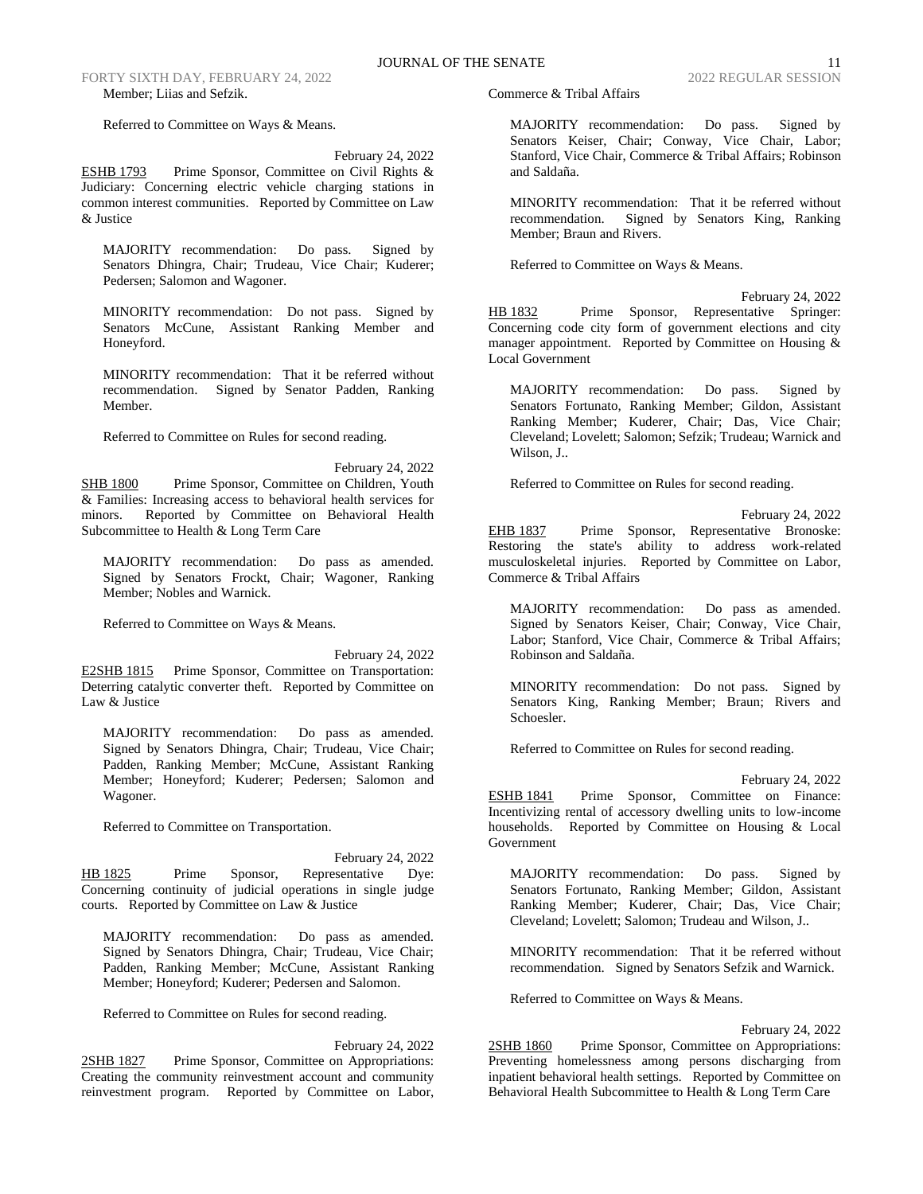FORTY SIXTH DAY, FEBRUARY 24, 2022 2022 REGULAR SESSION Member; Liias and Sefzik.

Referred to Committee on Ways & Means.

## February 24, 2022

ESHB 1793 Prime Sponsor, Committee on Civil Rights & Judiciary: Concerning electric vehicle charging stations in common interest communities. Reported by Committee on Law & Justice

MAJORITY recommendation: Do pass. Signed by Senators Dhingra, Chair; Trudeau, Vice Chair; Kuderer; Pedersen; Salomon and Wagoner.

MINORITY recommendation: Do not pass. Signed by Senators McCune, Assistant Ranking Member and Honeyford.

MINORITY recommendation: That it be referred without recommendation. Signed by Senator Padden, Ranking Member.

Referred to Committee on Rules for second reading.

February 24, 2022 SHB 1800 Prime Sponsor, Committee on Children, Youth & Families: Increasing access to behavioral health services for minors. Reported by Committee on Behavioral Health Subcommittee to Health & Long Term Care

MAJORITY recommendation: Do pass as amended. Signed by Senators Frockt, Chair; Wagoner, Ranking Member; Nobles and Warnick.

Referred to Committee on Ways & Means.

February 24, 2022 E2SHB 1815 Prime Sponsor, Committee on Transportation: Deterring catalytic converter theft. Reported by Committee on Law & Justice

MAJORITY recommendation: Do pass as amended. Signed by Senators Dhingra, Chair; Trudeau, Vice Chair; Padden, Ranking Member; McCune, Assistant Ranking Member; Honeyford; Kuderer; Pedersen; Salomon and Wagoner.

Referred to Committee on Transportation.

February 24, 2022 HB 1825 Prime Sponsor, Representative Dye: Concerning continuity of judicial operations in single judge courts. Reported by Committee on Law & Justice

MAJORITY recommendation: Do pass as amended. Signed by Senators Dhingra, Chair; Trudeau, Vice Chair; Padden, Ranking Member; McCune, Assistant Ranking Member; Honeyford; Kuderer; Pedersen and Salomon.

Referred to Committee on Rules for second reading.

February 24, 2022 2SHB 1827 Prime Sponsor, Committee on Appropriations: Creating the community reinvestment account and community reinvestment program. Reported by Committee on Labor, Commerce & Tribal Affairs

MAJORITY recommendation: Do pass. Signed by Senators Keiser, Chair; Conway, Vice Chair, Labor; Stanford, Vice Chair, Commerce & Tribal Affairs; Robinson and Saldaña.

MINORITY recommendation: That it be referred without recommendation. Signed by Senators King, Ranking Member; Braun and Rivers.

Referred to Committee on Ways & Means.

February 24, 2022 HB 1832 Prime Sponsor, Representative Springer: Concerning code city form of government elections and city manager appointment. Reported by Committee on Housing & Local Government

MAJORITY recommendation: Do pass. Signed by Senators Fortunato, Ranking Member; Gildon, Assistant Ranking Member; Kuderer, Chair; Das, Vice Chair; Cleveland; Lovelett; Salomon; Sefzik; Trudeau; Warnick and Wilson, J..

Referred to Committee on Rules for second reading.

February 24, 2022 EHB 1837 Prime Sponsor, Representative Bronoske: Restoring the state's ability to address work-related musculoskeletal injuries. Reported by Committee on Labor, Commerce & Tribal Affairs

MAJORITY recommendation: Do pass as amended. Signed by Senators Keiser, Chair; Conway, Vice Chair, Labor; Stanford, Vice Chair, Commerce & Tribal Affairs; Robinson and Saldaña.

MINORITY recommendation: Do not pass. Signed by Senators King, Ranking Member; Braun; Rivers and Schoesler.

Referred to Committee on Rules for second reading.

February 24, 2022

ESHB 1841 Prime Sponsor, Committee on Finance: Incentivizing rental of accessory dwelling units to low-income households. Reported by Committee on Housing & Local Government

MAJORITY recommendation: Do pass. Signed by Senators Fortunato, Ranking Member; Gildon, Assistant Ranking Member; Kuderer, Chair; Das, Vice Chair; Cleveland; Lovelett; Salomon; Trudeau and Wilson, J..

MINORITY recommendation: That it be referred without recommendation. Signed by Senators Sefzik and Warnick.

Referred to Committee on Ways & Means.

February 24, 2022

2SHB 1860 Prime Sponsor, Committee on Appropriations: Preventing homelessness among persons discharging from inpatient behavioral health settings. Reported by Committee on Behavioral Health Subcommittee to Health & Long Term Care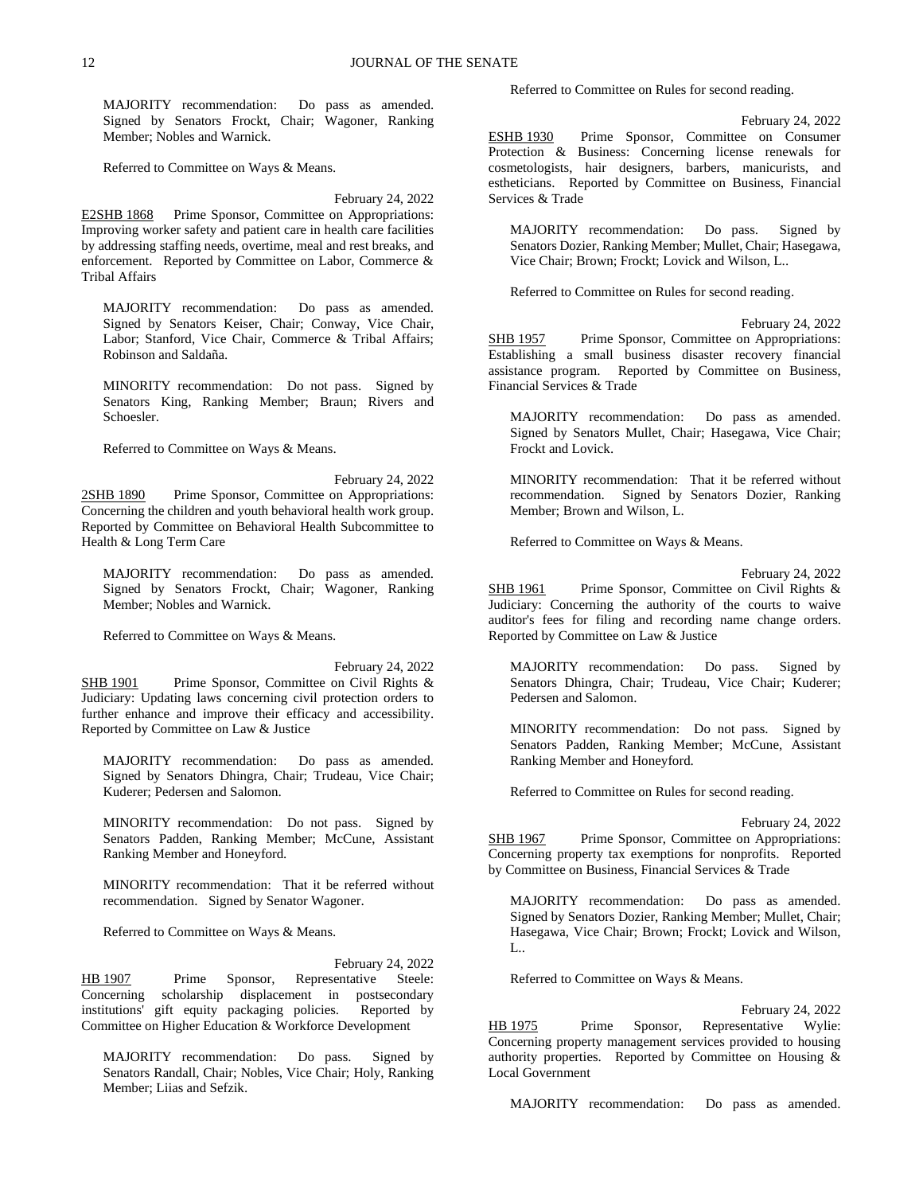MAJORITY recommendation: Do pass as amended. Signed by Senators Frockt, Chair; Wagoner, Ranking Member; Nobles and Warnick.

Referred to Committee on Ways & Means.

February 24, 2022 E2SHB 1868 Prime Sponsor, Committee on Appropriations: Improving worker safety and patient care in health care facilities by addressing staffing needs, overtime, meal and rest breaks, and enforcement. Reported by Committee on Labor, Commerce & Tribal Affairs

MAJORITY recommendation: Do pass as amended. Signed by Senators Keiser, Chair; Conway, Vice Chair, Labor; Stanford, Vice Chair, Commerce & Tribal Affairs; Robinson and Saldaña.

MINORITY recommendation: Do not pass. Signed by Senators King, Ranking Member; Braun; Rivers and Schoesler.

Referred to Committee on Ways & Means.

February 24, 2022 2SHB 1890 Prime Sponsor, Committee on Appropriations: Concerning the children and youth behavioral health work group. Reported by Committee on Behavioral Health Subcommittee to Health & Long Term Care

MAJORITY recommendation: Do pass as amended. Signed by Senators Frockt, Chair; Wagoner, Ranking Member; Nobles and Warnick.

Referred to Committee on Ways & Means.

February 24, 2022 SHB 1901 Prime Sponsor, Committee on Civil Rights & Judiciary: Updating laws concerning civil protection orders to further enhance and improve their efficacy and accessibility. Reported by Committee on Law & Justice

MAJORITY recommendation: Do pass as amended. Signed by Senators Dhingra, Chair; Trudeau, Vice Chair; Kuderer; Pedersen and Salomon.

MINORITY recommendation: Do not pass. Signed by Senators Padden, Ranking Member; McCune, Assistant Ranking Member and Honeyford.

MINORITY recommendation: That it be referred without recommendation. Signed by Senator Wagoner.

Referred to Committee on Ways & Means.

February 24, 2022 HB 1907 Prime Sponsor, Representative Steele: Concerning scholarship displacement in postsecondary institutions' gift equity packaging policies. Reported by Committee on Higher Education & Workforce Development

MAJORITY recommendation: Do pass. Signed by Senators Randall, Chair; Nobles, Vice Chair; Holy, Ranking Member; Liias and Sefzik.

Referred to Committee on Rules for second reading.

February 24, 2022

ESHB 1930 Prime Sponsor, Committee on Consumer Protection & Business: Concerning license renewals for cosmetologists, hair designers, barbers, manicurists, and estheticians. Reported by Committee on Business, Financial Services & Trade

MAJORITY recommendation: Do pass. Signed by Senators Dozier, Ranking Member; Mullet, Chair; Hasegawa, Vice Chair; Brown; Frockt; Lovick and Wilson, L..

Referred to Committee on Rules for second reading.

February 24, 2022 SHB 1957 Prime Sponsor, Committee on Appropriations: Establishing a small business disaster recovery financial assistance program. Reported by Committee on Business, Financial Services & Trade

MAJORITY recommendation: Do pass as amended. Signed by Senators Mullet, Chair; Hasegawa, Vice Chair; Frockt and Lovick.

MINORITY recommendation: That it be referred without recommendation. Signed by Senators Dozier, Ranking Member; Brown and Wilson, L.

Referred to Committee on Ways & Means.

February 24, 2022

SHB 1961 Prime Sponsor, Committee on Civil Rights & Judiciary: Concerning the authority of the courts to waive auditor's fees for filing and recording name change orders. Reported by Committee on Law & Justice

MAJORITY recommendation: Do pass. Signed by Senators Dhingra, Chair; Trudeau, Vice Chair; Kuderer; Pedersen and Salomon.

MINORITY recommendation: Do not pass. Signed by Senators Padden, Ranking Member; McCune, Assistant Ranking Member and Honeyford.

Referred to Committee on Rules for second reading.

February 24, 2022 SHB 1967 Prime Sponsor, Committee on Appropriations: Concerning property tax exemptions for nonprofits. Reported by Committee on Business, Financial Services & Trade

MAJORITY recommendation: Do pass as amended. Signed by Senators Dozier, Ranking Member; Mullet, Chair; Hasegawa, Vice Chair; Brown; Frockt; Lovick and Wilson,  $L_{\cdot}$ 

Referred to Committee on Ways & Means.

February 24, 2022 HB 1975 Prime Sponsor, Representative Wylie: Concerning property management services provided to housing authority properties. Reported by Committee on Housing & Local Government

MAJORITY recommendation: Do pass as amended.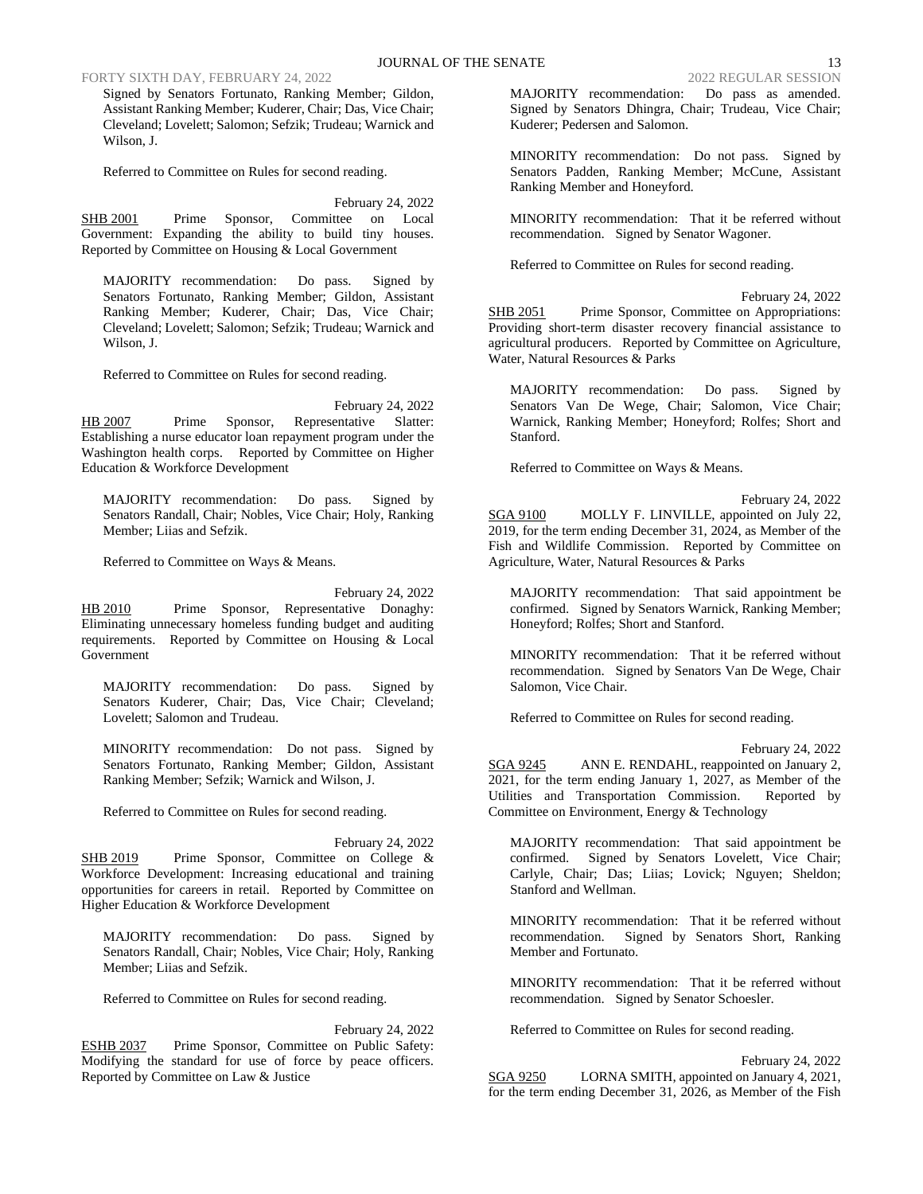FORTY SIXTH DAY, FEBRUARY 24, 2022 2022 REGULAR SESSION

Signed by Senators Fortunato, Ranking Member; Gildon, Assistant Ranking Member; Kuderer, Chair; Das, Vice Chair; Cleveland; Lovelett; Salomon; Sefzik; Trudeau; Warnick and Wilson, J.

Referred to Committee on Rules for second reading.

February 24, 2022 SHB 2001 Prime Sponsor, Committee on Local Government: Expanding the ability to build tiny houses. Reported by Committee on Housing & Local Government

MAJORITY recommendation: Do pass. Signed by Senators Fortunato, Ranking Member; Gildon, Assistant Ranking Member; Kuderer, Chair; Das, Vice Chair; Cleveland; Lovelett; Salomon; Sefzik; Trudeau; Warnick and Wilson, J.

Referred to Committee on Rules for second reading.

February 24, 2022 HB 2007 Prime Sponsor, Representative Slatter: Establishing a nurse educator loan repayment program under the Washington health corps. Reported by Committee on Higher Education & Workforce Development

MAJORITY recommendation: Do pass. Signed by Senators Randall, Chair; Nobles, Vice Chair; Holy, Ranking Member; Liias and Sefzik.

Referred to Committee on Ways & Means.

February 24, 2022 HB 2010 Prime Sponsor, Representative Donaghy: Eliminating unnecessary homeless funding budget and auditing requirements. Reported by Committee on Housing & Local Government

MAJORITY recommendation: Do pass. Signed by Senators Kuderer, Chair; Das, Vice Chair; Cleveland; Lovelett; Salomon and Trudeau.

MINORITY recommendation: Do not pass. Signed by Senators Fortunato, Ranking Member; Gildon, Assistant Ranking Member; Sefzik; Warnick and Wilson, J.

Referred to Committee on Rules for second reading.

February 24, 2022 SHB 2019 Prime Sponsor, Committee on College & Workforce Development: Increasing educational and training opportunities for careers in retail. Reported by Committee on Higher Education & Workforce Development

MAJORITY recommendation: Do pass. Signed by Senators Randall, Chair; Nobles, Vice Chair; Holy, Ranking Member; Liias and Sefzik.

Referred to Committee on Rules for second reading.

February 24, 2022 ESHB 2037 Prime Sponsor, Committee on Public Safety: Modifying the standard for use of force by peace officers. Reported by Committee on Law & Justice

MAJORITY recommendation: Do pass as amended. Signed by Senators Dhingra, Chair; Trudeau, Vice Chair; Kuderer; Pedersen and Salomon.

MINORITY recommendation: Do not pass. Signed by Senators Padden, Ranking Member; McCune, Assistant Ranking Member and Honeyford.

MINORITY recommendation: That it be referred without recommendation. Signed by Senator Wagoner.

Referred to Committee on Rules for second reading.

February 24, 2022 SHB 2051 Prime Sponsor, Committee on Appropriations: Providing short-term disaster recovery financial assistance to agricultural producers. Reported by Committee on Agriculture, Water, Natural Resources & Parks

MAJORITY recommendation: Do pass. Signed by Senators Van De Wege, Chair; Salomon, Vice Chair; Warnick, Ranking Member; Honeyford; Rolfes; Short and Stanford.

Referred to Committee on Ways & Means.

February 24, 2022 SGA 9100 MOLLY F. LINVILLE, appointed on July 22, 2019, for the term ending December 31, 2024, as Member of the Fish and Wildlife Commission. Reported by Committee on Agriculture, Water, Natural Resources & Parks

MAJORITY recommendation: That said appointment be confirmed. Signed by Senators Warnick, Ranking Member; Honeyford; Rolfes; Short and Stanford.

MINORITY recommendation: That it be referred without recommendation. Signed by Senators Van De Wege, Chair Salomon, Vice Chair.

Referred to Committee on Rules for second reading.

February 24, 2022

SGA 9245 ANN E. RENDAHL, reappointed on January 2, 2021, for the term ending January 1, 2027, as Member of the Utilities and Transportation Commission. Reported by Committee on Environment, Energy & Technology

MAJORITY recommendation: That said appointment be confirmed. Signed by Senators Lovelett, Vice Chair; Carlyle, Chair; Das; Liias; Lovick; Nguyen; Sheldon; Stanford and Wellman.

MINORITY recommendation: That it be referred without recommendation. Signed by Senators Short, Ranking Member and Fortunato.

MINORITY recommendation: That it be referred without recommendation. Signed by Senator Schoesler.

Referred to Committee on Rules for second reading.

February 24, 2022 SGA 9250 LORNA SMITH, appointed on January 4, 2021, for the term ending December 31, 2026, as Member of the Fish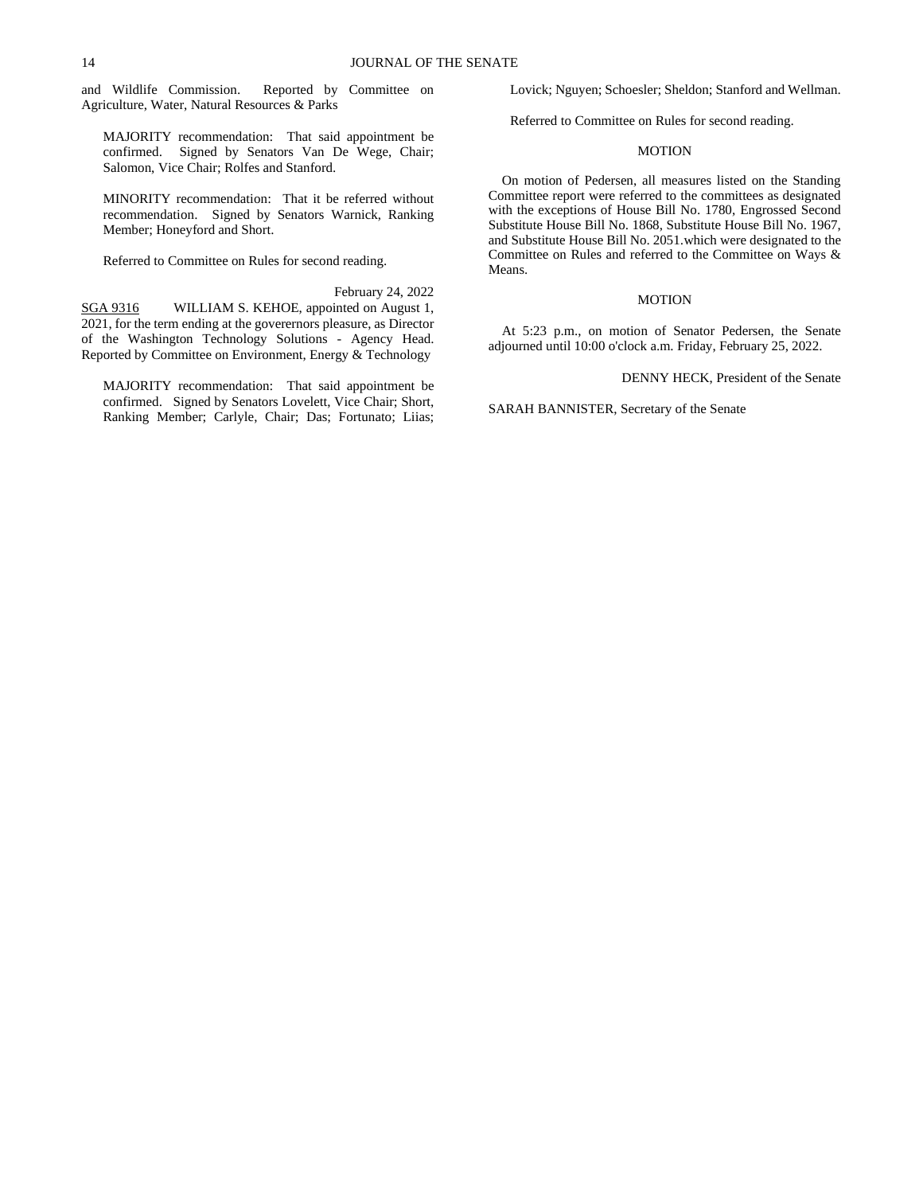and Wildlife Commission. Reported by Committee on Agriculture, Water, Natural Resources & Parks

MAJORITY recommendation: That said appointment be confirmed. Signed by Senators Van De Wege, Chair; Salomon, Vice Chair; Rolfes and Stanford.

MINORITY recommendation: That it be referred without recommendation. Signed by Senators Warnick, Ranking Member; Honeyford and Short.

Referred to Committee on Rules for second reading.

February 24, 2022

SGA 9316 WILLIAM S. KEHOE, appointed on August 1, 2021, for the term ending at the goverernors pleasure, as Director of the Washington Technology Solutions - Agency Head. Reported by Committee on Environment, Energy & Technology

MAJORITY recommendation: That said appointment be confirmed. Signed by Senators Lovelett, Vice Chair; Short, Ranking Member; Carlyle, Chair; Das; Fortunato; Liias; Lovick; Nguyen; Schoesler; Sheldon; Stanford and Wellman.

Referred to Committee on Rules for second reading.

# MOTION

On motion of Pedersen, all measures listed on the Standing Committee report were referred to the committees as designated with the exceptions of House Bill No. 1780, Engrossed Second Substitute House Bill No. 1868, Substitute House Bill No. 1967, and Substitute House Bill No. 2051.which were designated to the Committee on Rules and referred to the Committee on Ways & Means.

## MOTION

At 5:23 p.m., on motion of Senator Pedersen, the Senate adjourned until 10:00 o'clock a.m. Friday, February 25, 2022.

DENNY HECK, President of the Senate

SARAH BANNISTER, Secretary of the Senate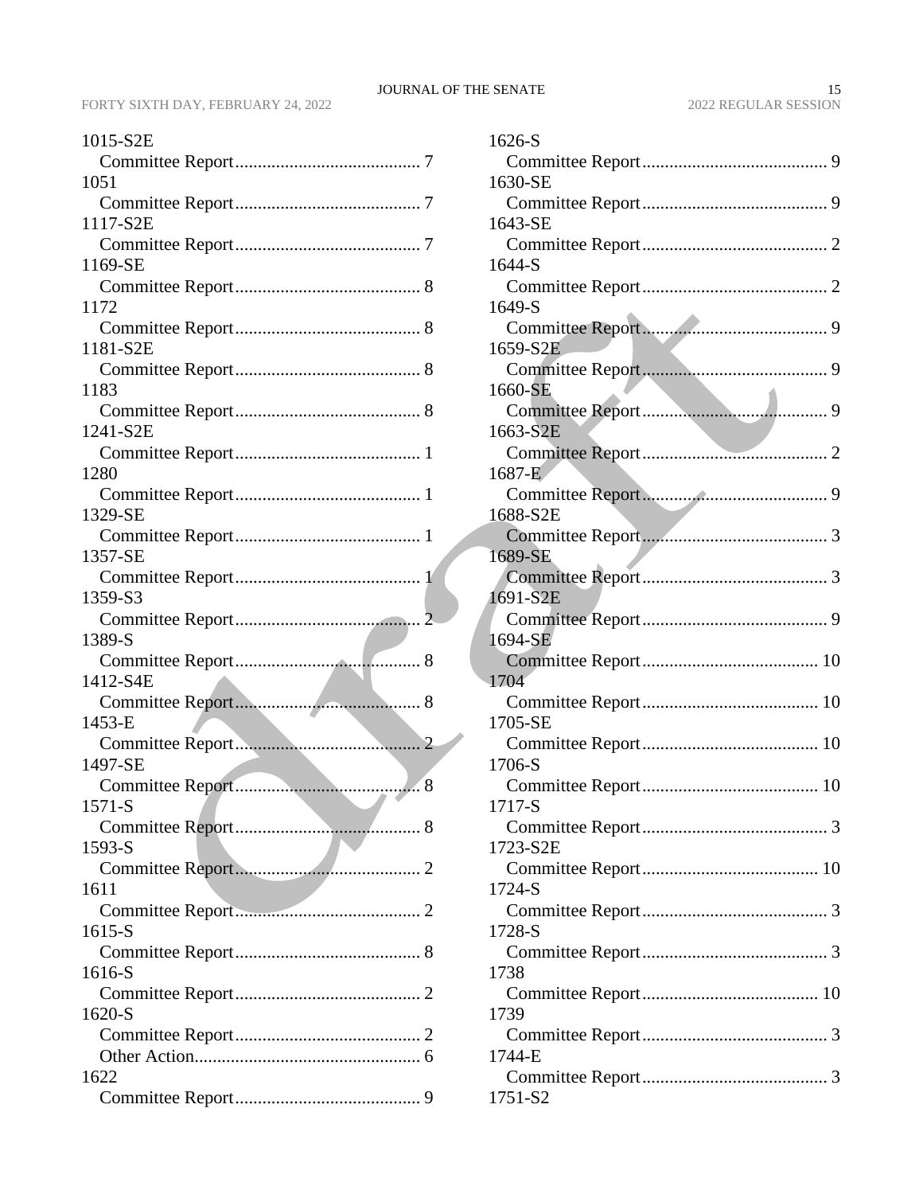| 1015-S2E |
|----------|
|          |
| 1051     |
|          |
| 1117-S2E |
|          |
| 1169-SE  |
|          |
| 1172     |
| 1181-S2E |
|          |
| 1183     |
|          |
| 1241-S2E |
|          |
| 1280     |
|          |
| 1329-SE  |
|          |
| 1357-SE  |
|          |
| 1359-S3  |
|          |
| 1389-S   |
|          |
| 1412-S4E |
|          |
| 1453-E   |
|          |
| 1497-SE  |
|          |
|          |
| 1571-S   |
|          |
| 1593-S   |
|          |
| 1611     |
|          |
| 1615-S   |
|          |
| 1616-S   |
| 1620-S   |
|          |
|          |
| 1622     |

| 1626-S   |
|----------|
|          |
| 1630-SE  |
|          |
| 1643-SE  |
|          |
| 1644-S   |
|          |
| 1649-S   |
| 1659-S2E |
|          |
| 1660-SE  |
|          |
| 1663-S2E |
|          |
| 1687-E   |
| 1688-S2E |
|          |
| 1689-SE  |
|          |
| 1691-S2E |
|          |
| 1694-SE  |
|          |
| 1704     |
| 1705-SE  |
|          |
| 1706-S   |
|          |
| 1717-S   |
|          |
| 1723-S2E |
| 1724-S   |
|          |
| 1728-S   |
|          |
| 1738     |
|          |
| 1739     |
| 1744-E   |
|          |
| 1751-S2  |
|          |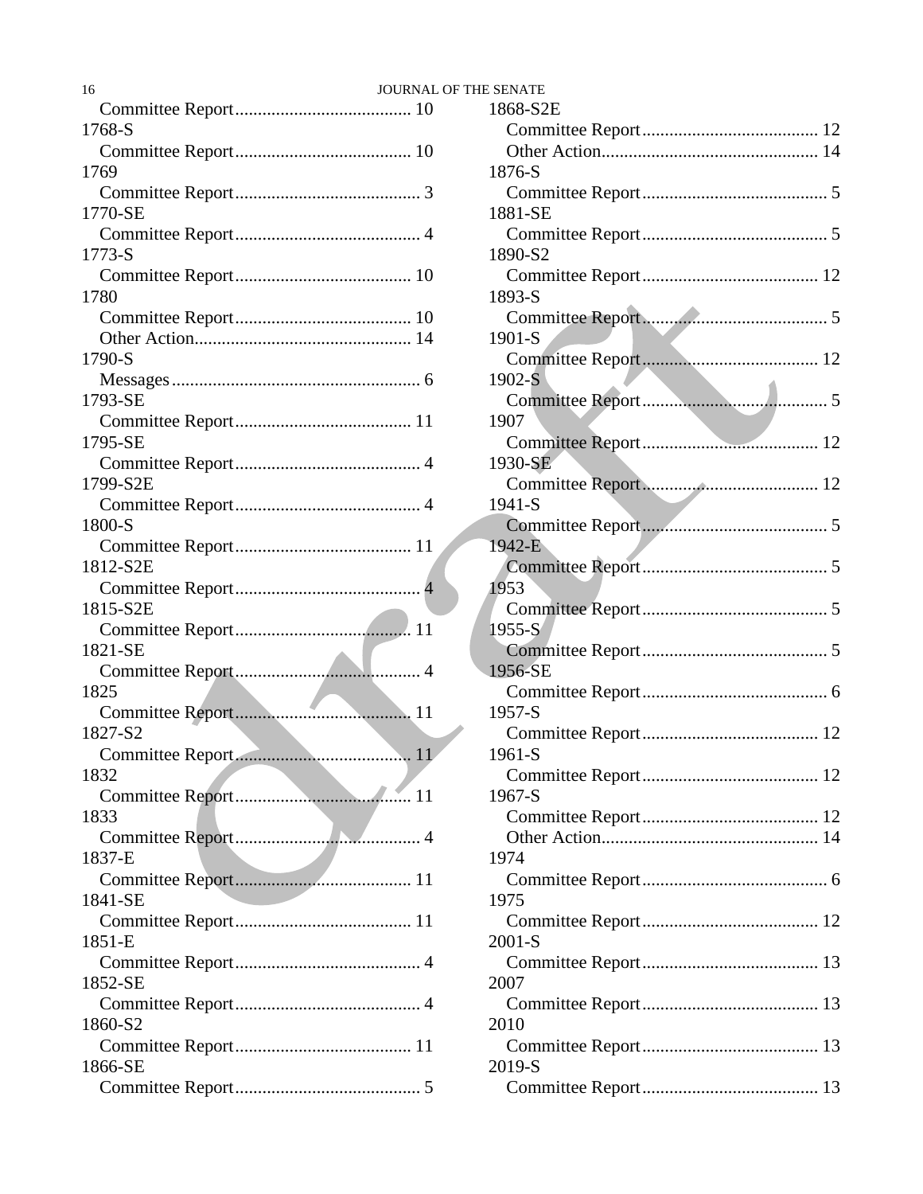| 16       | <b>JOURNAL OF T</b> |
|----------|---------------------|
|          |                     |
| 1768-S   |                     |
|          |                     |
| 1769     |                     |
|          |                     |
| 1770-SE  |                     |
| 1773-S   |                     |
|          |                     |
| 1780     |                     |
|          |                     |
|          |                     |
| 1790-S   |                     |
|          |                     |
| 1793-SE  |                     |
|          |                     |
| 1795-SE  |                     |
|          |                     |
| 1799-S2E |                     |
|          |                     |
| 1800-S   |                     |
| 1812-S2E |                     |
|          |                     |
| 1815-S2E |                     |
|          |                     |
| 1821-SE  |                     |
|          |                     |
| 1825     |                     |
|          |                     |
| 1827-S2  |                     |
|          |                     |
| 1832     |                     |
| 1833     |                     |
|          |                     |
| 1837-E   |                     |
|          |                     |
| 1841-SE  |                     |
|          |                     |
| 1851-E   |                     |
|          |                     |
| 1852-SE  |                     |
|          |                     |
| 1860-S2  |                     |
|          |                     |
| 1866-SE  |                     |
|          |                     |

| OF THE SENATE |  |
|---------------|--|
| 1868-S2E      |  |
|               |  |
|               |  |
| 1876-S        |  |
|               |  |
| 1881-SE       |  |
|               |  |
| 1890-S2       |  |
|               |  |
| 1893-S        |  |
|               |  |
| 1901-S        |  |
|               |  |
| $1902-S$      |  |
|               |  |
| 1907          |  |
|               |  |
| 1930-SE       |  |
|               |  |
| 1941-S        |  |
|               |  |
| 1942-E        |  |
|               |  |
| 1953          |  |
|               |  |
| $1955-S$      |  |
|               |  |
| 1956-SE       |  |
| 1957-S        |  |
|               |  |
| 1961-S        |  |
|               |  |
| 1967-S        |  |
|               |  |
|               |  |
| 1974          |  |
|               |  |
| 1975          |  |
|               |  |
| $2001-S$      |  |
|               |  |
| 2007          |  |
|               |  |
| 2010          |  |
|               |  |
| 2019-S        |  |
|               |  |
|               |  |